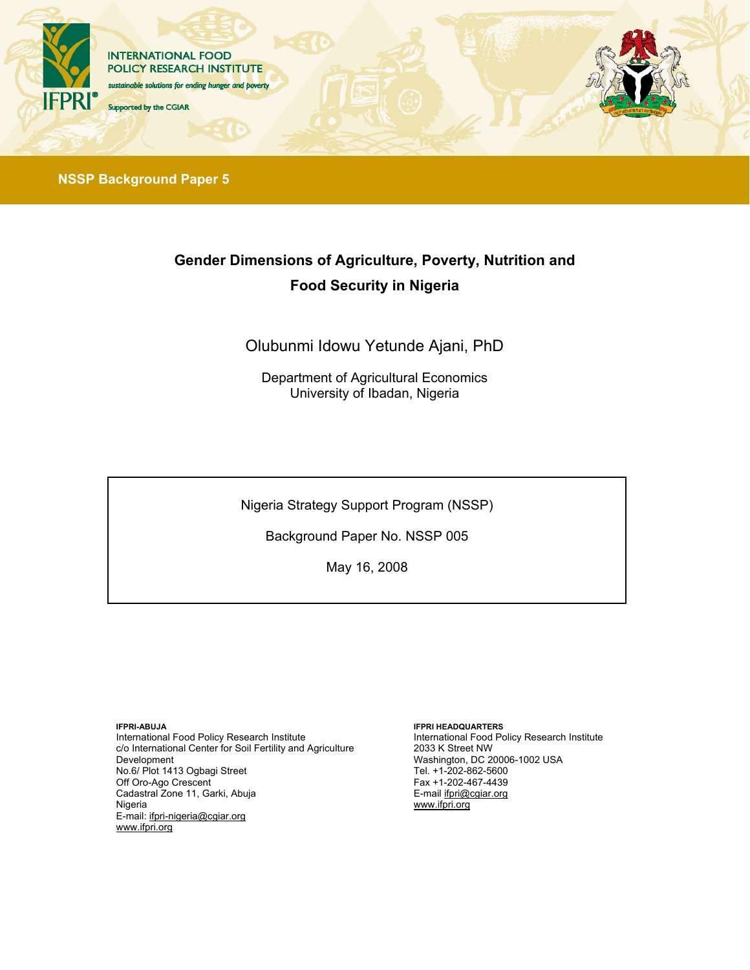

**NSSP Background Paper 5**

# **Gender Dimensions of Agriculture, Poverty, Nutrition and Food Security in Nigeria**

Olubunmi Idowu Yetunde Ajani, PhD

Department of Agricultural Economics University of Ibadan, Nigeria

Nigeria Strategy Support Program (NSSP)

Background Paper No. NSSP 005

May 16, 2008

**IFPRI-ABUJA** 

International Food Policy Research Institute c/o International Center for Soil Fertility and Agriculture Development No.6/ Plot 1413 Ogbagi Street Off Oro-Ago Crescent Cadastral Zone 11, Garki, Abuja Nigeria E-mail: ifpri-nigeria@cgiar.org www.ifpri.org

#### **IFPRI HEADQUARTERS**

International Food Policy Research Institute 2033 K Street NW Washington, DC 20006-1002 USA Tel. +1-202-862-5600 Fax +1-202-467-4439 E-mail ifpri@cgiar.org www.ifpri.org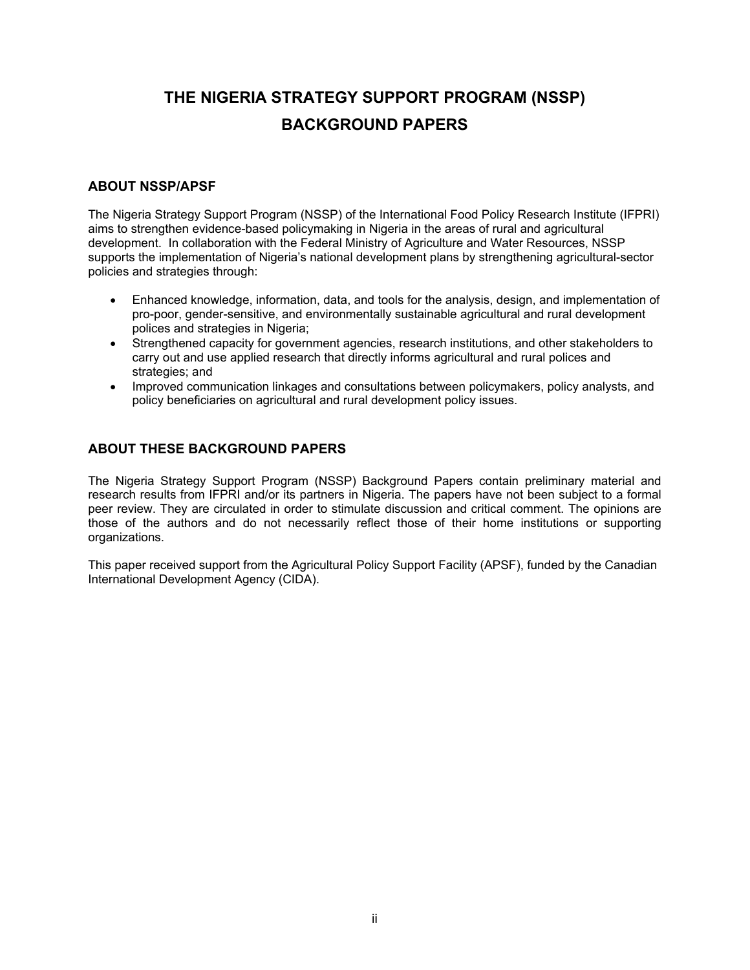# **THE NIGERIA STRATEGY SUPPORT PROGRAM (NSSP) BACKGROUND PAPERS**

### **ABOUT NSSP/APSF**

The Nigeria Strategy Support Program (NSSP) of the International Food Policy Research Institute (IFPRI) aims to strengthen evidence-based policymaking in Nigeria in the areas of rural and agricultural development. In collaboration with the Federal Ministry of Agriculture and Water Resources, NSSP supports the implementation of Nigeria's national development plans by strengthening agricultural-sector policies and strategies through:

- Enhanced knowledge, information, data, and tools for the analysis, design, and implementation of pro-poor, gender-sensitive, and environmentally sustainable agricultural and rural development polices and strategies in Nigeria;
- Strengthened capacity for government agencies, research institutions, and other stakeholders to carry out and use applied research that directly informs agricultural and rural polices and strategies; and
- Improved communication linkages and consultations between policymakers, policy analysts, and policy beneficiaries on agricultural and rural development policy issues.

### **ABOUT THESE BACKGROUND PAPERS**

The Nigeria Strategy Support Program (NSSP) Background Papers contain preliminary material and research results from IFPRI and/or its partners in Nigeria. The papers have not been subject to a formal peer review. They are circulated in order to stimulate discussion and critical comment. The opinions are those of the authors and do not necessarily reflect those of their home institutions or supporting organizations.

This paper received support from the Agricultural Policy Support Facility (APSF), funded by the Canadian International Development Agency (CIDA).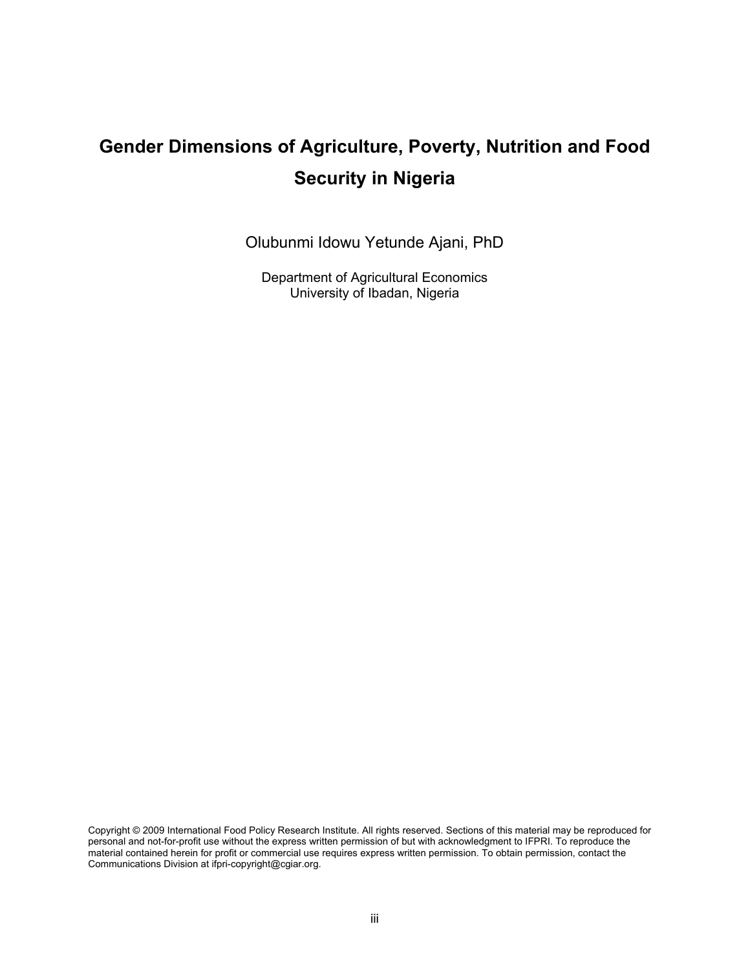# **Gender Dimensions of Agriculture, Poverty, Nutrition and Food Security in Nigeria**

Olubunmi Idowu Yetunde Ajani, PhD

Department of Agricultural Economics University of Ibadan, Nigeria

Copyright © 2009 International Food Policy Research Institute. All rights reserved. Sections of this material may be reproduced for personal and not-for-profit use without the express written permission of but with acknowledgment to IFPRI. To reproduce the material contained herein for profit or commercial use requires express written permission. To obtain permission, contact the Communications Division at ifpri-copyright@cgiar.org.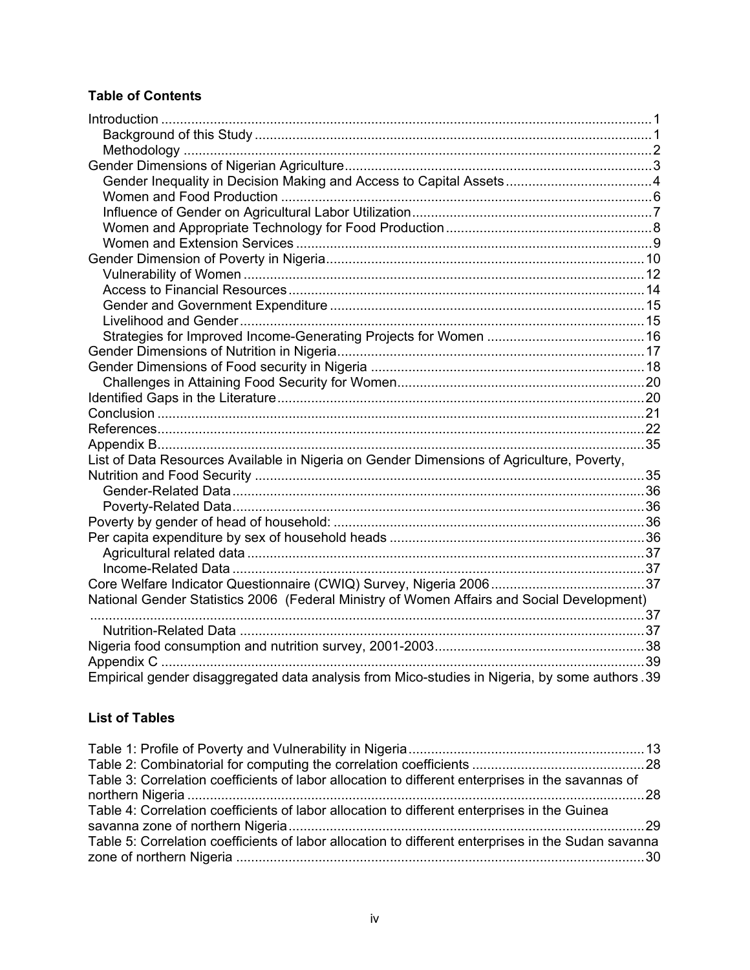### **Table of Contents**

| List of Data Resources Available in Nigeria on Gender Dimensions of Agriculture, Poverty,      |  |
|------------------------------------------------------------------------------------------------|--|
|                                                                                                |  |
|                                                                                                |  |
|                                                                                                |  |
|                                                                                                |  |
|                                                                                                |  |
|                                                                                                |  |
|                                                                                                |  |
|                                                                                                |  |
| National Gender Statistics 2006 (Federal Ministry of Women Affairs and Social Development)     |  |
|                                                                                                |  |
|                                                                                                |  |
|                                                                                                |  |
|                                                                                                |  |
| Empirical gender disaggregated data analysis from Mico-studies in Nigeria, by some authors .39 |  |

### **List of Tables**

| Table 3: Correlation coefficients of labor allocation to different enterprises in the savannas of   |  |
|-----------------------------------------------------------------------------------------------------|--|
|                                                                                                     |  |
| Table 4: Correlation coefficients of labor allocation to different enterprises in the Guinea        |  |
|                                                                                                     |  |
| Table 5: Correlation coefficients of labor allocation to different enterprises in the Sudan savanna |  |
|                                                                                                     |  |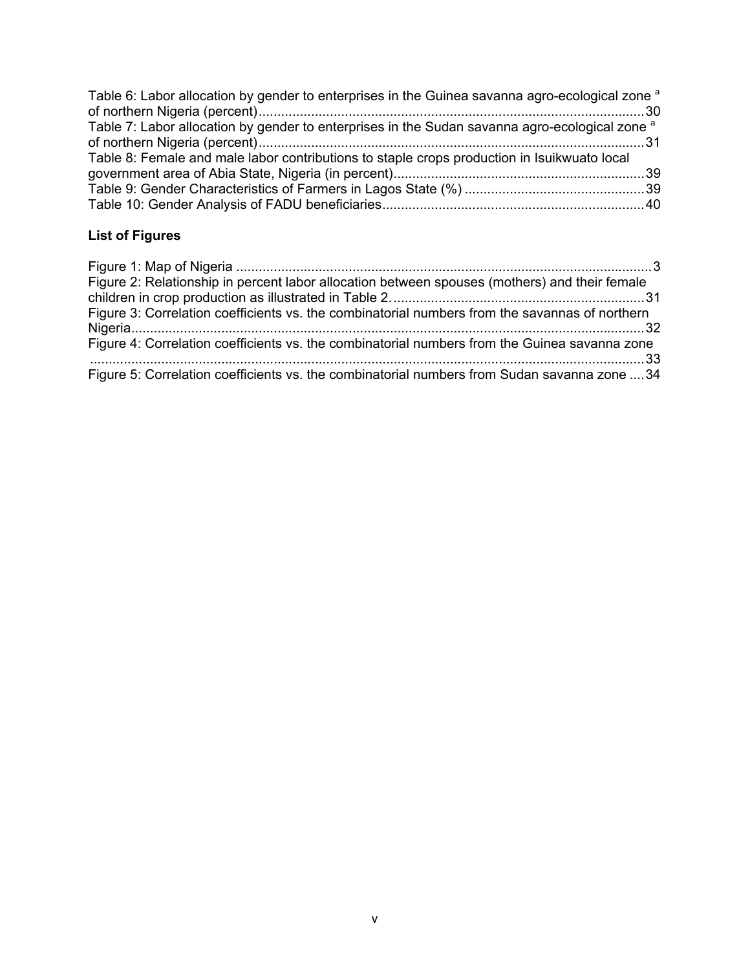| Table 6: Labor allocation by gender to enterprises in the Guinea savanna agro-ecological zone <sup>a</sup> |  |
|------------------------------------------------------------------------------------------------------------|--|
|                                                                                                            |  |
| Table 7: Labor allocation by gender to enterprises in the Sudan savanna agro-ecological zone <sup>a</sup>  |  |
|                                                                                                            |  |
| Table 8: Female and male labor contributions to staple crops production in Isuikwuato local                |  |
|                                                                                                            |  |
|                                                                                                            |  |
|                                                                                                            |  |

### **List of Figures**

| Figure 2: Relationship in percent labor allocation between spouses (mothers) and their female  |  |
|------------------------------------------------------------------------------------------------|--|
|                                                                                                |  |
| Figure 3: Correlation coefficients vs. the combinatorial numbers from the savannas of northern |  |
|                                                                                                |  |
| Figure 4: Correlation coefficients vs. the combinatorial numbers from the Guinea savanna zone  |  |
| Figure 5: Correlation coefficients vs. the combinatorial numbers from Sudan savanna zone  34   |  |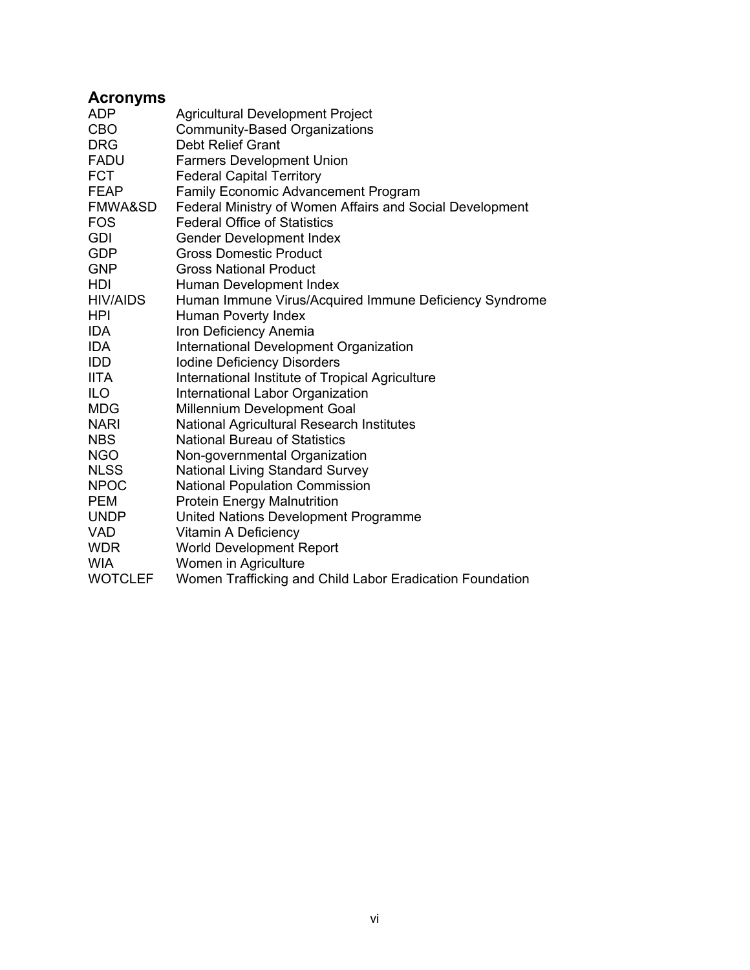### **Acronyms**

| <b>ADP</b>      | <b>Agricultural Development Project</b>                  |
|-----------------|----------------------------------------------------------|
| <b>CBO</b>      | <b>Community-Based Organizations</b>                     |
| <b>DRG</b>      | <b>Debt Relief Grant</b>                                 |
| <b>FADU</b>     | <b>Farmers Development Union</b>                         |
| <b>FCT</b>      | <b>Federal Capital Territory</b>                         |
| <b>FEAP</b>     | <b>Family Economic Advancement Program</b>               |
| FMWA&SD         | Federal Ministry of Women Affairs and Social Development |
| <b>FOS</b>      | <b>Federal Office of Statistics</b>                      |
| <b>GDI</b>      | <b>Gender Development Index</b>                          |
| <b>GDP</b>      | <b>Gross Domestic Product</b>                            |
| <b>GNP</b>      | <b>Gross National Product</b>                            |
| HDI             | Human Development Index                                  |
| <b>HIV/AIDS</b> | Human Immune Virus/Acquired Immune Deficiency Syndrome   |
| <b>HPI</b>      | Human Poverty Index                                      |
| <b>IDA</b>      | Iron Deficiency Anemia                                   |
| <b>IDA</b>      | International Development Organization                   |
| <b>IDD</b>      | <b>Iodine Deficiency Disorders</b>                       |
| <b>IITA</b>     | International Institute of Tropical Agriculture          |
| <b>ILO</b>      | International Labor Organization                         |
| <b>MDG</b>      | Millennium Development Goal                              |
| <b>NARI</b>     | National Agricultural Research Institutes                |
| <b>NBS</b>      | <b>National Bureau of Statistics</b>                     |
| <b>NGO</b>      | Non-governmental Organization                            |
| <b>NLSS</b>     | <b>National Living Standard Survey</b>                   |
| <b>NPOC</b>     | <b>National Population Commission</b>                    |
| <b>PEM</b>      | <b>Protein Energy Malnutrition</b>                       |
| <b>UNDP</b>     | United Nations Development Programme                     |
| <b>VAD</b>      | Vitamin A Deficiency                                     |
| <b>WDR</b>      | <b>World Development Report</b>                          |
| <b>WIA</b>      | Women in Agriculture                                     |
| <b>WOTCLEF</b>  | Women Trafficking and Child Labor Eradication Foundation |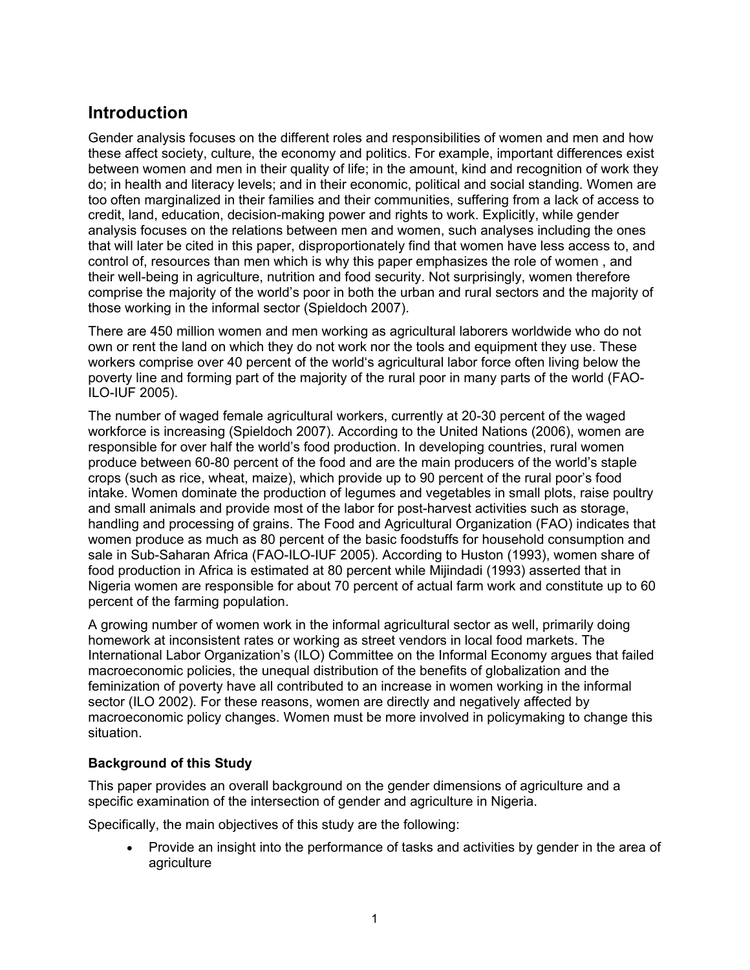### **Introduction**

Gender analysis focuses on the different roles and responsibilities of women and men and how these affect society, culture, the economy and politics. For example, important differences exist between women and men in their quality of life; in the amount, kind and recognition of work they do; in health and literacy levels; and in their economic, political and social standing. Women are too often marginalized in their families and their communities, suffering from a lack of access to credit, land, education, decision-making power and rights to work. Explicitly, while gender analysis focuses on the relations between men and women, such analyses including the ones that will later be cited in this paper, disproportionately find that women have less access to, and control of, resources than men which is why this paper emphasizes the role of women , and their well-being in agriculture, nutrition and food security. Not surprisingly, women therefore comprise the majority of the world's poor in both the urban and rural sectors and the majority of those working in the informal sector (Spieldoch 2007).

There are 450 million women and men working as agricultural laborers worldwide who do not own or rent the land on which they do not work nor the tools and equipment they use. These workers comprise over 40 percent of the world's agricultural labor force often living below the poverty line and forming part of the majority of the rural poor in many parts of the world (FAO-ILO-IUF 2005).

The number of waged female agricultural workers, currently at 20-30 percent of the waged workforce is increasing (Spieldoch 2007). According to the United Nations (2006), women are responsible for over half the world's food production. In developing countries, rural women produce between 60-80 percent of the food and are the main producers of the world's staple crops (such as rice, wheat, maize), which provide up to 90 percent of the rural poor's food intake. Women dominate the production of legumes and vegetables in small plots, raise poultry and small animals and provide most of the labor for post-harvest activities such as storage, handling and processing of grains. The Food and Agricultural Organization (FAO) indicates that women produce as much as 80 percent of the basic foodstuffs for household consumption and sale in Sub-Saharan Africa (FAO-ILO-IUF 2005). According to Huston (1993), women share of food production in Africa is estimated at 80 percent while Mijindadi (1993) asserted that in Nigeria women are responsible for about 70 percent of actual farm work and constitute up to 60 percent of the farming population.

A growing number of women work in the informal agricultural sector as well, primarily doing homework at inconsistent rates or working as street vendors in local food markets. The International Labor Organization's (ILO) Committee on the Informal Economy argues that failed macroeconomic policies, the unequal distribution of the benefits of globalization and the feminization of poverty have all contributed to an increase in women working in the informal sector (ILO 2002). For these reasons, women are directly and negatively affected by macroeconomic policy changes. Women must be more involved in policymaking to change this situation.

### **Background of this Study**

This paper provides an overall background on the gender dimensions of agriculture and a specific examination of the intersection of gender and agriculture in Nigeria.

Specifically, the main objectives of this study are the following:

 Provide an insight into the performance of tasks and activities by gender in the area of agriculture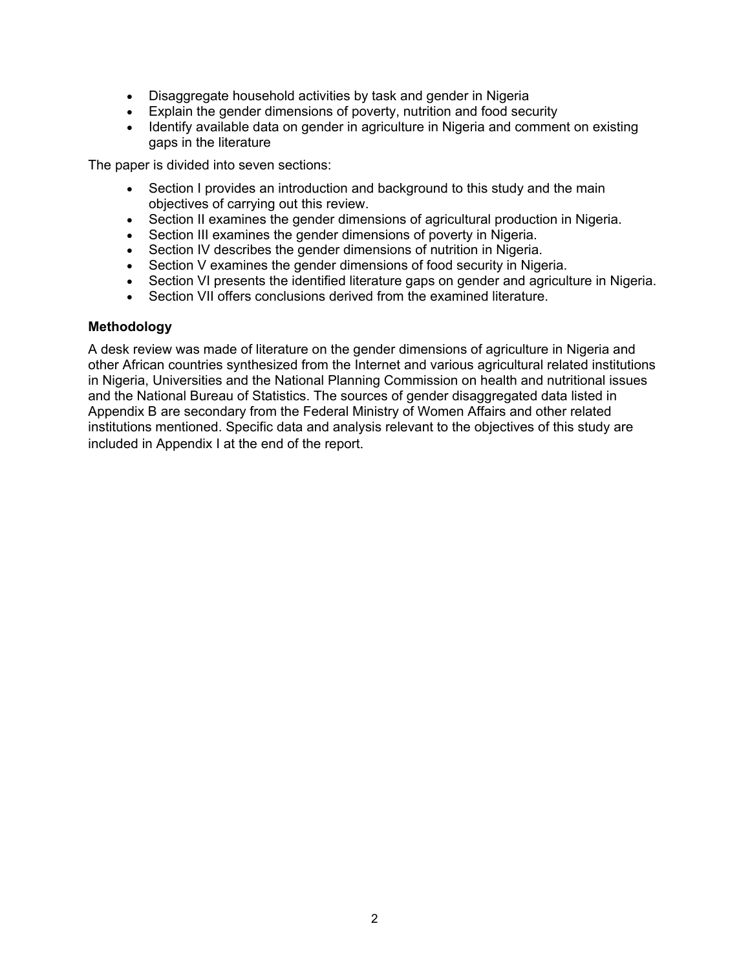- Disaggregate household activities by task and gender in Nigeria
- Explain the gender dimensions of poverty, nutrition and food security
- Identify available data on gender in agriculture in Nigeria and comment on existing gaps in the literature

The paper is divided into seven sections:

- Section I provides an introduction and background to this study and the main objectives of carrying out this review.
- Section II examines the gender dimensions of agricultural production in Nigeria.
- Section III examines the gender dimensions of poverty in Nigeria.
- Section IV describes the gender dimensions of nutrition in Nigeria.
- Section V examines the gender dimensions of food security in Nigeria.
- Section VI presents the identified literature gaps on gender and agriculture in Nigeria.
- Section VII offers conclusions derived from the examined literature.

#### **Methodology**

A desk review was made of literature on the gender dimensions of agriculture in Nigeria and other African countries synthesized from the Internet and various agricultural related institutions in Nigeria, Universities and the National Planning Commission on health and nutritional issues and the National Bureau of Statistics. The sources of gender disaggregated data listed in Appendix B are secondary from the Federal Ministry of Women Affairs and other related institutions mentioned. Specific data and analysis relevant to the objectives of this study are included in Appendix I at the end of the report.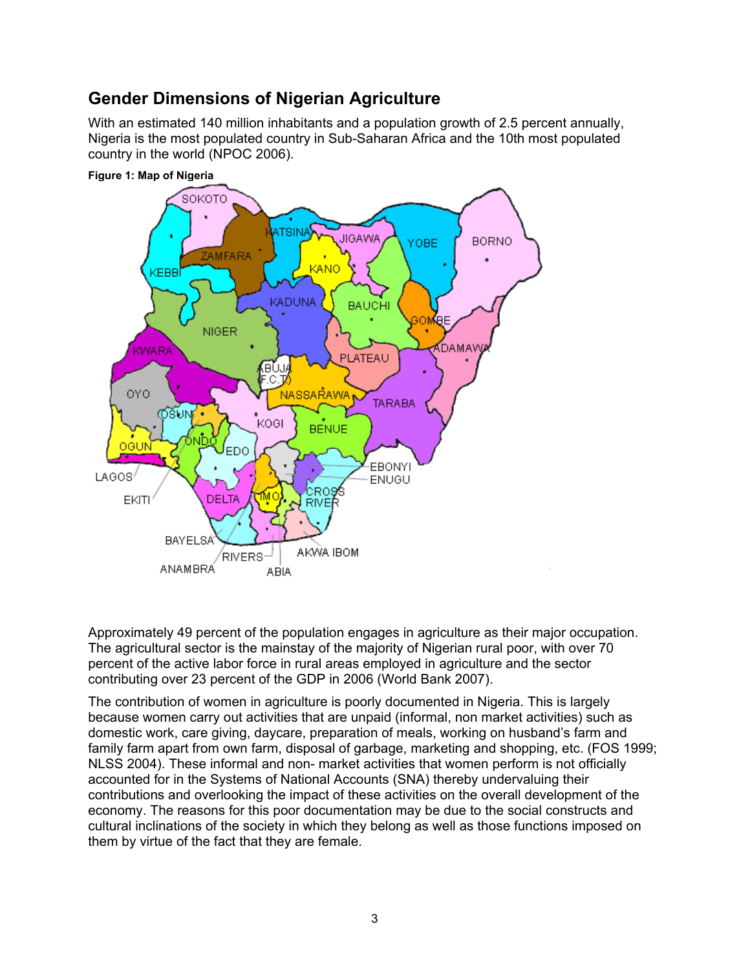### **Gender Dimensions of Nigerian Agriculture**

With an estimated 140 million inhabitants and a population growth of 2.5 percent annually, Nigeria is the most populated country in Sub-Saharan Africa and the 10th most populated country in the world (NPOC 2006).



**Figure 1: Map of Nigeria** 

Approximately 49 percent of the population engages in agriculture as their major occupation. The agricultural sector is the mainstay of the majority of Nigerian rural poor, with over 70 percent of the active labor force in rural areas employed in agriculture and the sector contributing over 23 percent of the GDP in 2006 (World Bank 2007).

The contribution of women in agriculture is poorly documented in Nigeria. This is largely because women carry out activities that are unpaid (informal, non market activities) such as domestic work, care giving, daycare, preparation of meals, working on husband's farm and family farm apart from own farm, disposal of garbage, marketing and shopping, etc. (FOS 1999; NLSS 2004). These informal and non- market activities that women perform is not officially accounted for in the Systems of National Accounts (SNA) thereby undervaluing their contributions and overlooking the impact of these activities on the overall development of the economy. The reasons for this poor documentation may be due to the social constructs and cultural inclinations of the society in which they belong as well as those functions imposed on them by virtue of the fact that they are female.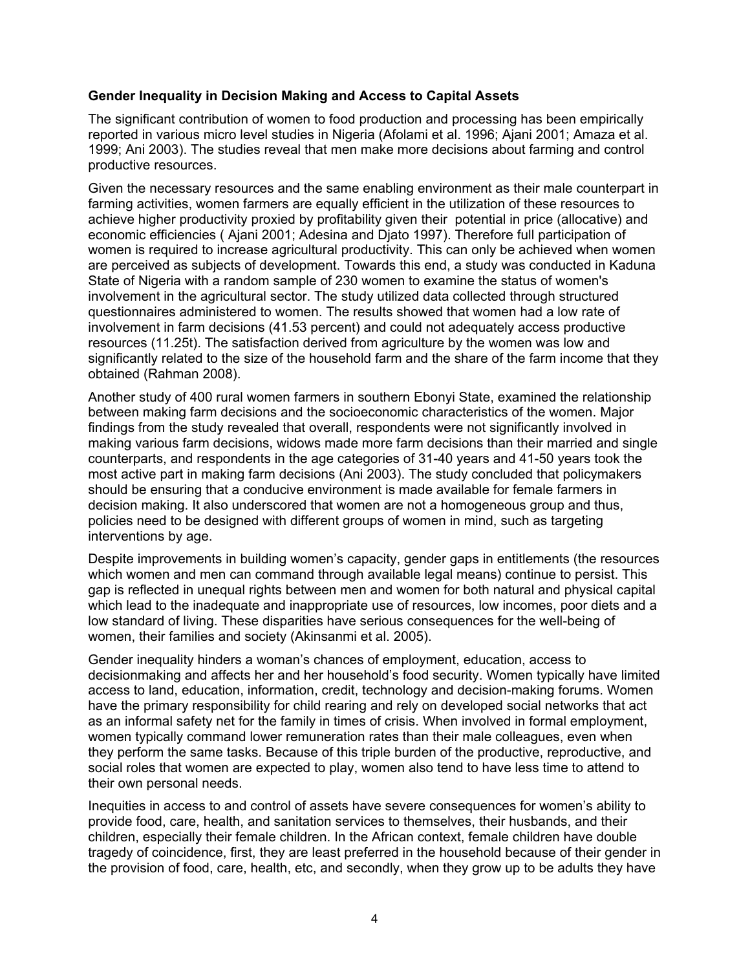#### **Gender Inequality in Decision Making and Access to Capital Assets**

The significant contribution of women to food production and processing has been empirically reported in various micro level studies in Nigeria (Afolami et al. 1996; Ajani 2001; Amaza et al. 1999; Ani 2003). The studies reveal that men make more decisions about farming and control productive resources.

Given the necessary resources and the same enabling environment as their male counterpart in farming activities, women farmers are equally efficient in the utilization of these resources to achieve higher productivity proxied by profitability given their potential in price (allocative) and economic efficiencies ( Ajani 2001; Adesina and Djato 1997). Therefore full participation of women is required to increase agricultural productivity. This can only be achieved when women are perceived as subjects of development. Towards this end, a study was conducted in Kaduna State of Nigeria with a random sample of 230 women to examine the status of women's involvement in the agricultural sector. The study utilized data collected through structured questionnaires administered to women. The results showed that women had a low rate of involvement in farm decisions (41.53 percent) and could not adequately access productive resources (11.25t). The satisfaction derived from agriculture by the women was low and significantly related to the size of the household farm and the share of the farm income that they obtained (Rahman 2008).

Another study of 400 rural women farmers in southern Ebonyi State, examined the relationship between making farm decisions and the socioeconomic characteristics of the women. Major findings from the study revealed that overall, respondents were not significantly involved in making various farm decisions, widows made more farm decisions than their married and single counterparts, and respondents in the age categories of 31-40 years and 41-50 years took the most active part in making farm decisions (Ani 2003). The study concluded that policymakers should be ensuring that a conducive environment is made available for female farmers in decision making. It also underscored that women are not a homogeneous group and thus, policies need to be designed with different groups of women in mind, such as targeting interventions by age.

Despite improvements in building women's capacity, gender gaps in entitlements (the resources which women and men can command through available legal means) continue to persist. This gap is reflected in unequal rights between men and women for both natural and physical capital which lead to the inadequate and inappropriate use of resources, low incomes, poor diets and a low standard of living. These disparities have serious consequences for the well-being of women, their families and society (Akinsanmi et al. 2005).

Gender inequality hinders a woman's chances of employment, education, access to decisionmaking and affects her and her household's food security. Women typically have limited access to land, education, information, credit, technology and decision-making forums. Women have the primary responsibility for child rearing and rely on developed social networks that act as an informal safety net for the family in times of crisis. When involved in formal employment, women typically command lower remuneration rates than their male colleagues, even when they perform the same tasks. Because of this triple burden of the productive, reproductive, and social roles that women are expected to play, women also tend to have less time to attend to their own personal needs.

Inequities in access to and control of assets have severe consequences for women's ability to provide food, care, health, and sanitation services to themselves, their husbands, and their children, especially their female children. In the African context, female children have double tragedy of coincidence, first, they are least preferred in the household because of their gender in the provision of food, care, health, etc, and secondly, when they grow up to be adults they have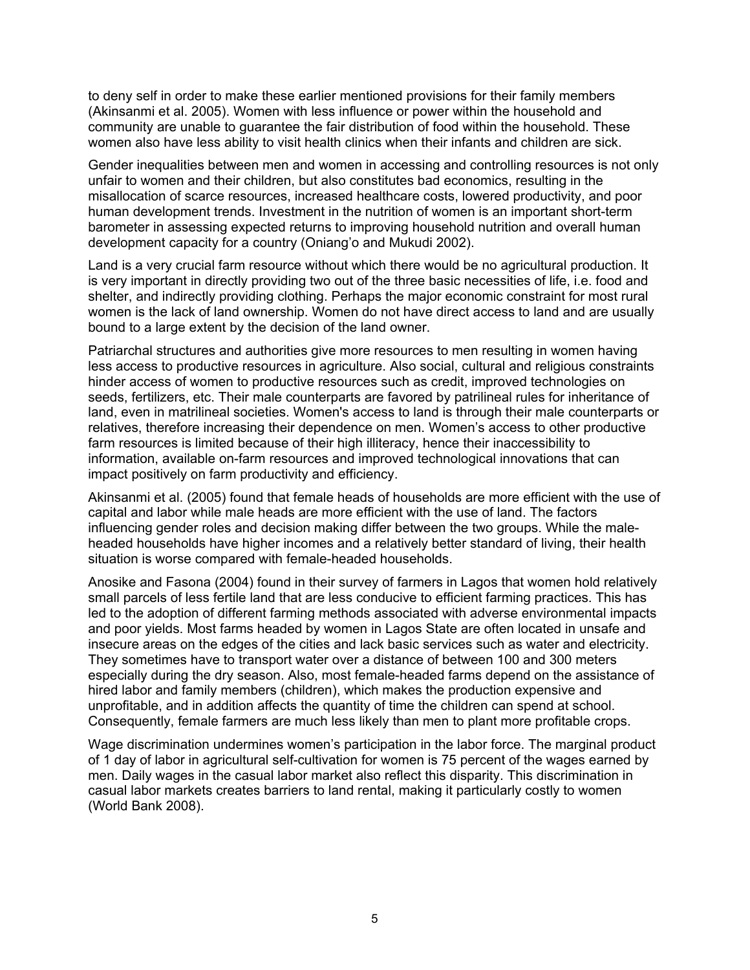to deny self in order to make these earlier mentioned provisions for their family members (Akinsanmi et al. 2005). Women with less influence or power within the household and community are unable to guarantee the fair distribution of food within the household. These women also have less ability to visit health clinics when their infants and children are sick.

Gender inequalities between men and women in accessing and controlling resources is not only unfair to women and their children, but also constitutes bad economics, resulting in the misallocation of scarce resources, increased healthcare costs, lowered productivity, and poor human development trends. Investment in the nutrition of women is an important short-term barometer in assessing expected returns to improving household nutrition and overall human development capacity for a country (Oniang'o and Mukudi 2002).

Land is a very crucial farm resource without which there would be no agricultural production. It is very important in directly providing two out of the three basic necessities of life, i.e. food and shelter, and indirectly providing clothing. Perhaps the major economic constraint for most rural women is the lack of land ownership. Women do not have direct access to land and are usually bound to a large extent by the decision of the land owner.

Patriarchal structures and authorities give more resources to men resulting in women having less access to productive resources in agriculture. Also social, cultural and religious constraints hinder access of women to productive resources such as credit, improved technologies on seeds, fertilizers, etc. Their male counterparts are favored by patrilineal rules for inheritance of land, even in matrilineal societies. Women's access to land is through their male counterparts or relatives, therefore increasing their dependence on men. Women's access to other productive farm resources is limited because of their high illiteracy, hence their inaccessibility to information, available on-farm resources and improved technological innovations that can impact positively on farm productivity and efficiency.

Akinsanmi et al. (2005) found that female heads of households are more efficient with the use of capital and labor while male heads are more efficient with the use of land. The factors influencing gender roles and decision making differ between the two groups. While the maleheaded households have higher incomes and a relatively better standard of living, their health situation is worse compared with female-headed households.

Anosike and Fasona (2004) found in their survey of farmers in Lagos that women hold relatively small parcels of less fertile land that are less conducive to efficient farming practices. This has led to the adoption of different farming methods associated with adverse environmental impacts and poor yields. Most farms headed by women in Lagos State are often located in unsafe and insecure areas on the edges of the cities and lack basic services such as water and electricity. They sometimes have to transport water over a distance of between 100 and 300 meters especially during the dry season. Also, most female-headed farms depend on the assistance of hired labor and family members (children), which makes the production expensive and unprofitable, and in addition affects the quantity of time the children can spend at school. Consequently, female farmers are much less likely than men to plant more profitable crops.

Wage discrimination undermines women's participation in the labor force. The marginal product of 1 day of labor in agricultural self-cultivation for women is 75 percent of the wages earned by men. Daily wages in the casual labor market also reflect this disparity. This discrimination in casual labor markets creates barriers to land rental, making it particularly costly to women (World Bank 2008).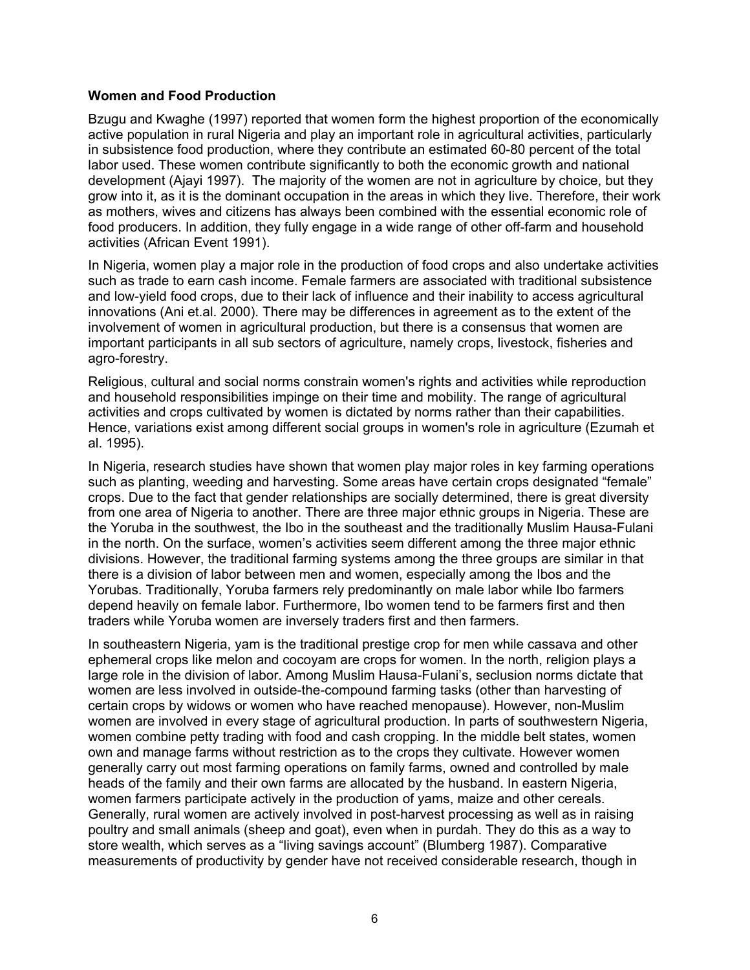#### **Women and Food Production**

Bzugu and Kwaghe (1997) reported that women form the highest proportion of the economically active population in rural Nigeria and play an important role in agricultural activities, particularly in subsistence food production, where they contribute an estimated 60-80 percent of the total labor used. These women contribute significantly to both the economic growth and national development (Ajayi 1997). The majority of the women are not in agriculture by choice, but they grow into it, as it is the dominant occupation in the areas in which they live. Therefore, their work as mothers, wives and citizens has always been combined with the essential economic role of food producers. In addition, they fully engage in a wide range of other off-farm and household activities (African Event 1991).

In Nigeria, women play a major role in the production of food crops and also undertake activities such as trade to earn cash income. Female farmers are associated with traditional subsistence and low-yield food crops, due to their lack of influence and their inability to access agricultural innovations (Ani et.al. 2000). There may be differences in agreement as to the extent of the involvement of women in agricultural production, but there is a consensus that women are important participants in all sub sectors of agriculture, namely crops, livestock, fisheries and agro-forestry.

Religious, cultural and social norms constrain women's rights and activities while reproduction and household responsibilities impinge on their time and mobility. The range of agricultural activities and crops cultivated by women is dictated by norms rather than their capabilities. Hence, variations exist among different social groups in women's role in agriculture (Ezumah et al. 1995).

In Nigeria, research studies have shown that women play major roles in key farming operations such as planting, weeding and harvesting. Some areas have certain crops designated "female" crops. Due to the fact that gender relationships are socially determined, there is great diversity from one area of Nigeria to another. There are three major ethnic groups in Nigeria. These are the Yoruba in the southwest, the Ibo in the southeast and the traditionally Muslim Hausa-Fulani in the north. On the surface, women's activities seem different among the three major ethnic divisions. However, the traditional farming systems among the three groups are similar in that there is a division of labor between men and women, especially among the Ibos and the Yorubas. Traditionally, Yoruba farmers rely predominantly on male labor while Ibo farmers depend heavily on female labor. Furthermore, Ibo women tend to be farmers first and then traders while Yoruba women are inversely traders first and then farmers.

In southeastern Nigeria, yam is the traditional prestige crop for men while cassava and other ephemeral crops like melon and cocoyam are crops for women. In the north, religion plays a large role in the division of labor. Among Muslim Hausa-Fulani's, seclusion norms dictate that women are less involved in outside-the-compound farming tasks (other than harvesting of certain crops by widows or women who have reached menopause). However, non-Muslim women are involved in every stage of agricultural production. In parts of southwestern Nigeria, women combine petty trading with food and cash cropping. In the middle belt states, women own and manage farms without restriction as to the crops they cultivate. However women generally carry out most farming operations on family farms, owned and controlled by male heads of the family and their own farms are allocated by the husband. In eastern Nigeria, women farmers participate actively in the production of yams, maize and other cereals. Generally, rural women are actively involved in post-harvest processing as well as in raising poultry and small animals (sheep and goat), even when in purdah. They do this as a way to store wealth, which serves as a "living savings account" (Blumberg 1987). Comparative measurements of productivity by gender have not received considerable research, though in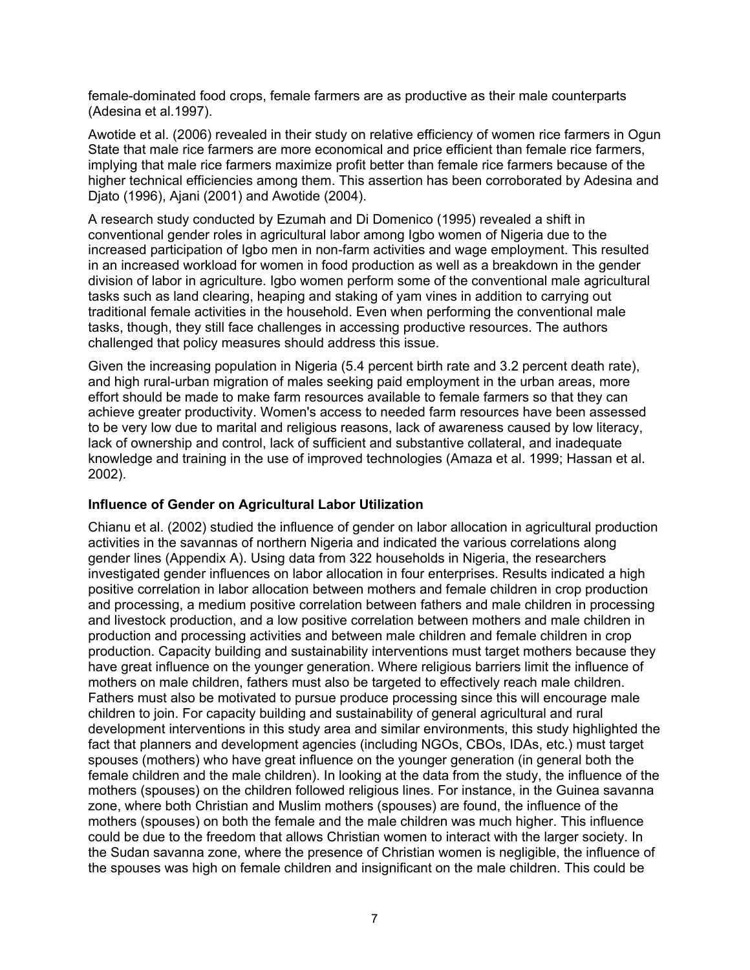female-dominated food crops, female farmers are as productive as their male counterparts (Adesina et al.1997).

Awotide et al. (2006) revealed in their study on relative efficiency of women rice farmers in Ogun State that male rice farmers are more economical and price efficient than female rice farmers, implying that male rice farmers maximize profit better than female rice farmers because of the higher technical efficiencies among them. This assertion has been corroborated by Adesina and Djato (1996), Ajani (2001) and Awotide (2004).

A research study conducted by Ezumah and Di Domenico (1995) revealed a shift in conventional gender roles in agricultural labor among Igbo women of Nigeria due to the increased participation of Igbo men in non-farm activities and wage employment. This resulted in an increased workload for women in food production as well as a breakdown in the gender division of labor in agriculture. Igbo women perform some of the conventional male agricultural tasks such as land clearing, heaping and staking of yam vines in addition to carrying out traditional female activities in the household. Even when performing the conventional male tasks, though, they still face challenges in accessing productive resources. The authors challenged that policy measures should address this issue.

Given the increasing population in Nigeria (5.4 percent birth rate and 3.2 percent death rate), and high rural-urban migration of males seeking paid employment in the urban areas, more effort should be made to make farm resources available to female farmers so that they can achieve greater productivity. Women's access to needed farm resources have been assessed to be very low due to marital and religious reasons, lack of awareness caused by low literacy, lack of ownership and control, lack of sufficient and substantive collateral, and inadequate knowledge and training in the use of improved technologies (Amaza et al. 1999; Hassan et al. 2002).

### **Influence of Gender on Agricultural Labor Utilization**

Chianu et al. (2002) studied the influence of gender on labor allocation in agricultural production activities in the savannas of northern Nigeria and indicated the various correlations along gender lines (Appendix A). Using data from 322 households in Nigeria, the researchers investigated gender influences on labor allocation in four enterprises. Results indicated a high positive correlation in labor allocation between mothers and female children in crop production and processing, a medium positive correlation between fathers and male children in processing and livestock production, and a low positive correlation between mothers and male children in production and processing activities and between male children and female children in crop production. Capacity building and sustainability interventions must target mothers because they have great influence on the younger generation. Where religious barriers limit the influence of mothers on male children, fathers must also be targeted to effectively reach male children. Fathers must also be motivated to pursue produce processing since this will encourage male children to join. For capacity building and sustainability of general agricultural and rural development interventions in this study area and similar environments, this study highlighted the fact that planners and development agencies (including NGOs, CBOs, IDAs, etc.) must target spouses (mothers) who have great influence on the younger generation (in general both the female children and the male children). In looking at the data from the study, the influence of the mothers (spouses) on the children followed religious lines. For instance, in the Guinea savanna zone, where both Christian and Muslim mothers (spouses) are found, the influence of the mothers (spouses) on both the female and the male children was much higher. This influence could be due to the freedom that allows Christian women to interact with the larger society. In the Sudan savanna zone, where the presence of Christian women is negligible, the influence of the spouses was high on female children and insignificant on the male children. This could be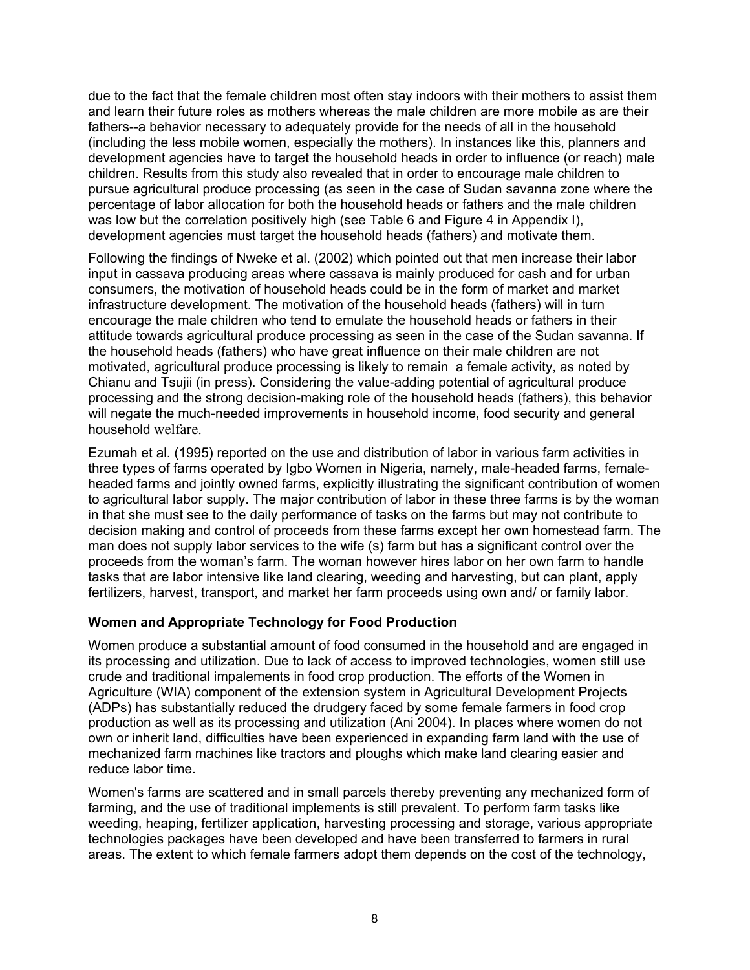due to the fact that the female children most often stay indoors with their mothers to assist them and learn their future roles as mothers whereas the male children are more mobile as are their fathers--a behavior necessary to adequately provide for the needs of all in the household (including the less mobile women, especially the mothers). In instances like this, planners and development agencies have to target the household heads in order to influence (or reach) male children. Results from this study also revealed that in order to encourage male children to pursue agricultural produce processing (as seen in the case of Sudan savanna zone where the percentage of labor allocation for both the household heads or fathers and the male children was low but the correlation positively high (see Table 6 and Figure 4 in Appendix I), development agencies must target the household heads (fathers) and motivate them.

Following the findings of Nweke et al. (2002) which pointed out that men increase their labor input in cassava producing areas where cassava is mainly produced for cash and for urban consumers, the motivation of household heads could be in the form of market and market infrastructure development. The motivation of the household heads (fathers) will in turn encourage the male children who tend to emulate the household heads or fathers in their attitude towards agricultural produce processing as seen in the case of the Sudan savanna. If the household heads (fathers) who have great influence on their male children are not motivated, agricultural produce processing is likely to remain a female activity, as noted by Chianu and Tsujii (in press). Considering the value-adding potential of agricultural produce processing and the strong decision-making role of the household heads (fathers), this behavior will negate the much-needed improvements in household income, food security and general household welfare.

Ezumah et al. (1995) reported on the use and distribution of labor in various farm activities in three types of farms operated by Igbo Women in Nigeria, namely, male-headed farms, femaleheaded farms and jointly owned farms, explicitly illustrating the significant contribution of women to agricultural labor supply. The major contribution of labor in these three farms is by the woman in that she must see to the daily performance of tasks on the farms but may not contribute to decision making and control of proceeds from these farms except her own homestead farm. The man does not supply labor services to the wife (s) farm but has a significant control over the proceeds from the woman's farm. The woman however hires labor on her own farm to handle tasks that are labor intensive like land clearing, weeding and harvesting, but can plant, apply fertilizers, harvest, transport, and market her farm proceeds using own and/ or family labor.

### **Women and Appropriate Technology for Food Production**

Women produce a substantial amount of food consumed in the household and are engaged in its processing and utilization. Due to lack of access to improved technologies, women still use crude and traditional impalements in food crop production. The efforts of the Women in Agriculture (WIA) component of the extension system in Agricultural Development Projects (ADPs) has substantially reduced the drudgery faced by some female farmers in food crop production as well as its processing and utilization (Ani 2004). In places where women do not own or inherit land, difficulties have been experienced in expanding farm land with the use of mechanized farm machines like tractors and ploughs which make land clearing easier and reduce labor time.

Women's farms are scattered and in small parcels thereby preventing any mechanized form of farming, and the use of traditional implements is still prevalent. To perform farm tasks like weeding, heaping, fertilizer application, harvesting processing and storage, various appropriate technologies packages have been developed and have been transferred to farmers in rural areas. The extent to which female farmers adopt them depends on the cost of the technology,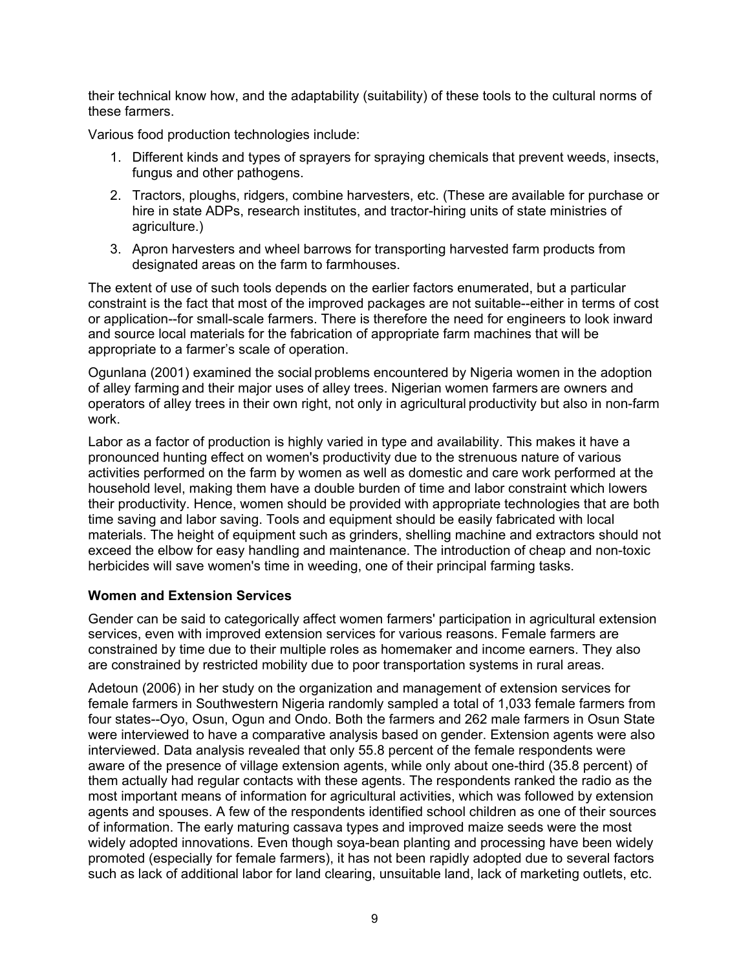their technical know how, and the adaptability (suitability) of these tools to the cultural norms of these farmers.

Various food production technologies include:

- 1. Different kinds and types of sprayers for spraying chemicals that prevent weeds, insects, fungus and other pathogens.
- 2. Tractors, ploughs, ridgers, combine harvesters, etc. (These are available for purchase or hire in state ADPs, research institutes, and tractor-hiring units of state ministries of agriculture.)
- 3. Apron harvesters and wheel barrows for transporting harvested farm products from designated areas on the farm to farmhouses.

The extent of use of such tools depends on the earlier factors enumerated, but a particular constraint is the fact that most of the improved packages are not suitable--either in terms of cost or application--for small-scale farmers. There is therefore the need for engineers to look inward and source local materials for the fabrication of appropriate farm machines that will be appropriate to a farmer's scale of operation.

Ogunlana (2001) examined the social problems encountered by Nigeria women in the adoption of alley farming and their major uses of alley trees. Nigerian women farmers are owners and operators of alley trees in their own right, not only in agricultural productivity but also in non-farm work.

Labor as a factor of production is highly varied in type and availability. This makes it have a pronounced hunting effect on women's productivity due to the strenuous nature of various activities performed on the farm by women as well as domestic and care work performed at the household level, making them have a double burden of time and labor constraint which lowers their productivity. Hence, women should be provided with appropriate technologies that are both time saving and labor saving. Tools and equipment should be easily fabricated with local materials. The height of equipment such as grinders, shelling machine and extractors should not exceed the elbow for easy handling and maintenance. The introduction of cheap and non-toxic herbicides will save women's time in weeding, one of their principal farming tasks.

### **Women and Extension Services**

Gender can be said to categorically affect women farmers' participation in agricultural extension services, even with improved extension services for various reasons. Female farmers are constrained by time due to their multiple roles as homemaker and income earners. They also are constrained by restricted mobility due to poor transportation systems in rural areas.

Adetoun (2006) in her study on the organization and management of extension services for female farmers in Southwestern Nigeria randomly sampled a total of 1,033 female farmers from four states--Oyo, Osun, Ogun and Ondo. Both the farmers and 262 male farmers in Osun State were interviewed to have a comparative analysis based on gender. Extension agents were also interviewed. Data analysis revealed that only 55.8 percent of the female respondents were aware of the presence of village extension agents, while only about one-third (35.8 percent) of them actually had regular contacts with these agents. The respondents ranked the radio as the most important means of information for agricultural activities, which was followed by extension agents and spouses. A few of the respondents identified school children as one of their sources of information. The early maturing cassava types and improved maize seeds were the most widely adopted innovations. Even though soya-bean planting and processing have been widely promoted (especially for female farmers), it has not been rapidly adopted due to several factors such as lack of additional labor for land clearing, unsuitable land, lack of marketing outlets, etc.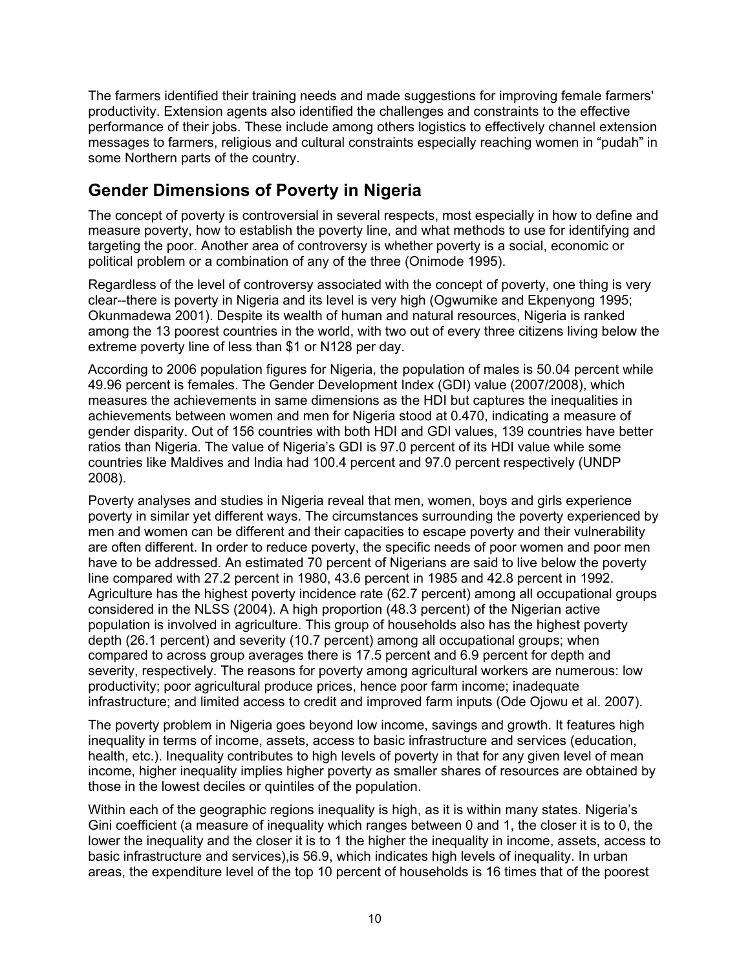The farmers identified their training needs and made suggestions for improving female farmers' productivity. Extension agents also identified the challenges and constraints to the effective performance of their jobs. These include among others logistics to effectively channel extension messages to farmers, religious and cultural constraints especially reaching women in "pudah" in some Northern parts of the country.

### **Gender Dimensions of Poverty in Nigeria**

The concept of poverty is controversial in several respects, most especially in how to define and measure poverty, how to establish the poverty line, and what methods to use for identifying and targeting the poor. Another area of controversy is whether poverty is a social, economic or political problem or a combination of any of the three (Onimode 1995).

Regardless of the level of controversy associated with the concept of poverty, one thing is very clear--there is poverty in Nigeria and its level is very high (Ogwumike and Ekpenyong 1995; Okunmadewa 2001). Despite its wealth of human and natural resources, Nigeria is ranked among the 13 poorest countries in the world, with two out of every three citizens living below the extreme poverty line of less than \$1 or N128 per day.

According to 2006 population figures for Nigeria, the population of males is 50.04 percent while 49.96 percent is females. The Gender Development Index (GDI) value (2007/2008), which measures the achievements in same dimensions as the HDI but captures the inequalities in achievements between women and men for Nigeria stood at 0.470, indicating a measure of gender disparity. Out of 156 countries with both HDI and GDI values, 139 countries have better ratios than Nigeria. The value of Nigeria's GDI is 97.0 percent of its HDI value while some countries like Maldives and India had 100.4 percent and 97.0 percent respectively (UNDP 2008).

Poverty analyses and studies in Nigeria reveal that men, women, boys and girls experience poverty in similar yet different ways. The circumstances surrounding the poverty experienced by men and women can be different and their capacities to escape poverty and their vulnerability are often different. In order to reduce poverty, the specific needs of poor women and poor men have to be addressed. An estimated 70 percent of Nigerians are said to live below the poverty line compared with 27.2 percent in 1980, 43.6 percent in 1985 and 42.8 percent in 1992. Agriculture has the highest poverty incidence rate (62.7 percent) among all occupational groups considered in the NLSS (2004). A high proportion (48.3 percent) of the Nigerian active population is involved in agriculture. This group of households also has the highest poverty depth (26.1 percent) and severity (10.7 percent) among all occupational groups; when compared to across group averages there is 17.5 percent and 6.9 percent for depth and severity, respectively. The reasons for poverty among agricultural workers are numerous: low productivity; poor agricultural produce prices, hence poor farm income; inadequate infrastructure; and limited access to credit and improved farm inputs (Ode Ojowu et al. 2007).

The poverty problem in Nigeria goes beyond low income, savings and growth. It features high inequality in terms of income, assets, access to basic infrastructure and services (education, health, etc.). Inequality contributes to high levels of poverty in that for any given level of mean income, higher inequality implies higher poverty as smaller shares of resources are obtained by those in the lowest deciles or quintiles of the population.

Within each of the geographic regions inequality is high, as it is within many states. Nigeria's Gini coefficient (a measure of inequality which ranges between 0 and 1, the closer it is to 0, the lower the inequality and the closer it is to 1 the higher the inequality in income, assets, access to basic infrastructure and services),is 56.9, which indicates high levels of inequality. In urban areas, the expenditure level of the top 10 percent of households is 16 times that of the poorest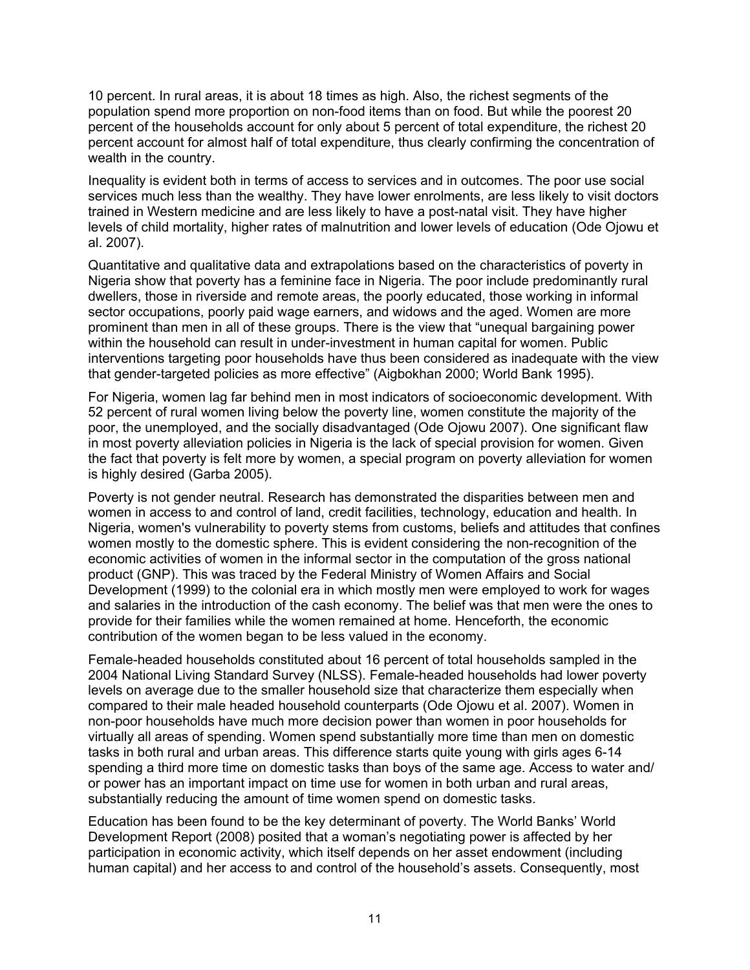10 percent. In rural areas, it is about 18 times as high. Also, the richest segments of the population spend more proportion on non-food items than on food. But while the poorest 20 percent of the households account for only about 5 percent of total expenditure, the richest 20 percent account for almost half of total expenditure, thus clearly confirming the concentration of wealth in the country.

Inequality is evident both in terms of access to services and in outcomes. The poor use social services much less than the wealthy. They have lower enrolments, are less likely to visit doctors trained in Western medicine and are less likely to have a post-natal visit. They have higher levels of child mortality, higher rates of malnutrition and lower levels of education (Ode Ojowu et al. 2007).

Quantitative and qualitative data and extrapolations based on the characteristics of poverty in Nigeria show that poverty has a feminine face in Nigeria. The poor include predominantly rural dwellers, those in riverside and remote areas, the poorly educated, those working in informal sector occupations, poorly paid wage earners, and widows and the aged. Women are more prominent than men in all of these groups. There is the view that "unequal bargaining power within the household can result in under-investment in human capital for women. Public interventions targeting poor households have thus been considered as inadequate with the view that gender-targeted policies as more effective" (Aigbokhan 2000; World Bank 1995).

For Nigeria, women lag far behind men in most indicators of socioeconomic development. With 52 percent of rural women living below the poverty line, women constitute the majority of the poor, the unemployed, and the socially disadvantaged (Ode Ojowu 2007). One significant flaw in most poverty alleviation policies in Nigeria is the lack of special provision for women. Given the fact that poverty is felt more by women, a special program on poverty alleviation for women is highly desired (Garba 2005).

Poverty is not gender neutral. Research has demonstrated the disparities between men and women in access to and control of land, credit facilities, technology, education and health. In Nigeria, women's vulnerability to poverty stems from customs, beliefs and attitudes that confines women mostly to the domestic sphere. This is evident considering the non-recognition of the economic activities of women in the informal sector in the computation of the gross national product (GNP). This was traced by the Federal Ministry of Women Affairs and Social Development (1999) to the colonial era in which mostly men were employed to work for wages and salaries in the introduction of the cash economy. The belief was that men were the ones to provide for their families while the women remained at home. Henceforth, the economic contribution of the women began to be less valued in the economy.

Female-headed households constituted about 16 percent of total households sampled in the 2004 National Living Standard Survey (NLSS). Female-headed households had lower poverty levels on average due to the smaller household size that characterize them especially when compared to their male headed household counterparts (Ode Ojowu et al. 2007). Women in non-poor households have much more decision power than women in poor households for virtually all areas of spending. Women spend substantially more time than men on domestic tasks in both rural and urban areas. This difference starts quite young with girls ages 6-14 spending a third more time on domestic tasks than boys of the same age. Access to water and/ or power has an important impact on time use for women in both urban and rural areas, substantially reducing the amount of time women spend on domestic tasks.

Education has been found to be the key determinant of poverty. The World Banks' World Development Report (2008) posited that a woman's negotiating power is affected by her participation in economic activity, which itself depends on her asset endowment (including human capital) and her access to and control of the household's assets. Consequently, most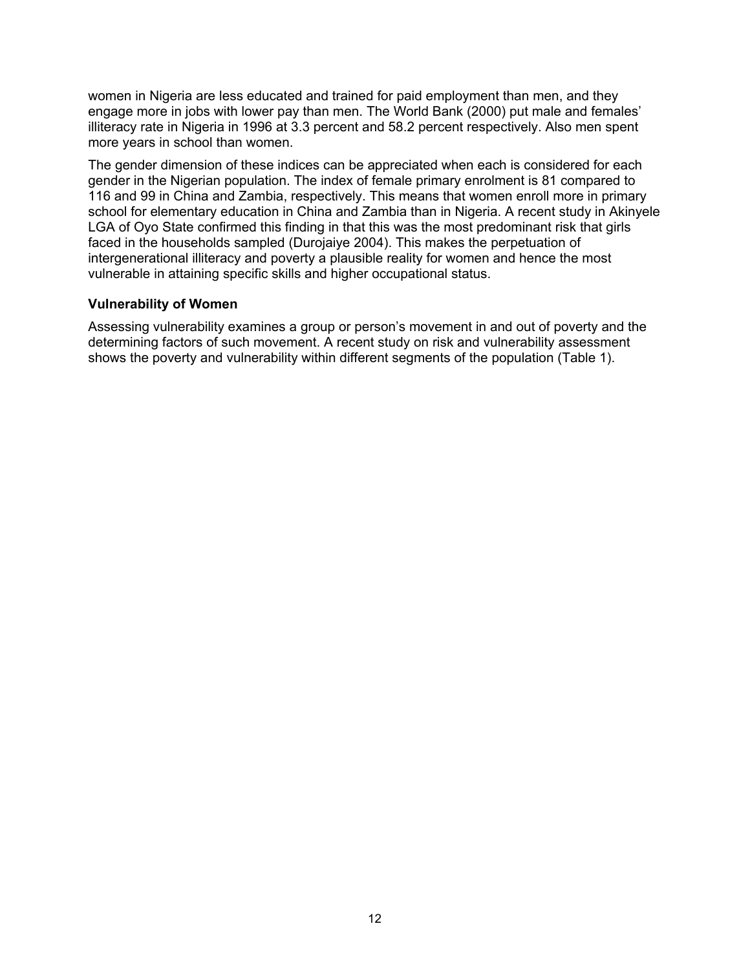women in Nigeria are less educated and trained for paid employment than men, and they engage more in jobs with lower pay than men. The World Bank (2000) put male and females' illiteracy rate in Nigeria in 1996 at 3.3 percent and 58.2 percent respectively. Also men spent more years in school than women.

The gender dimension of these indices can be appreciated when each is considered for each gender in the Nigerian population. The index of female primary enrolment is 81 compared to 116 and 99 in China and Zambia, respectively. This means that women enroll more in primary school for elementary education in China and Zambia than in Nigeria. A recent study in Akinyele LGA of Oyo State confirmed this finding in that this was the most predominant risk that girls faced in the households sampled (Durojaiye 2004). This makes the perpetuation of intergenerational illiteracy and poverty a plausible reality for women and hence the most vulnerable in attaining specific skills and higher occupational status.

#### **Vulnerability of Women**

Assessing vulnerability examines a group or person's movement in and out of poverty and the determining factors of such movement. A recent study on risk and vulnerability assessment shows the poverty and vulnerability within different segments of the population (Table 1).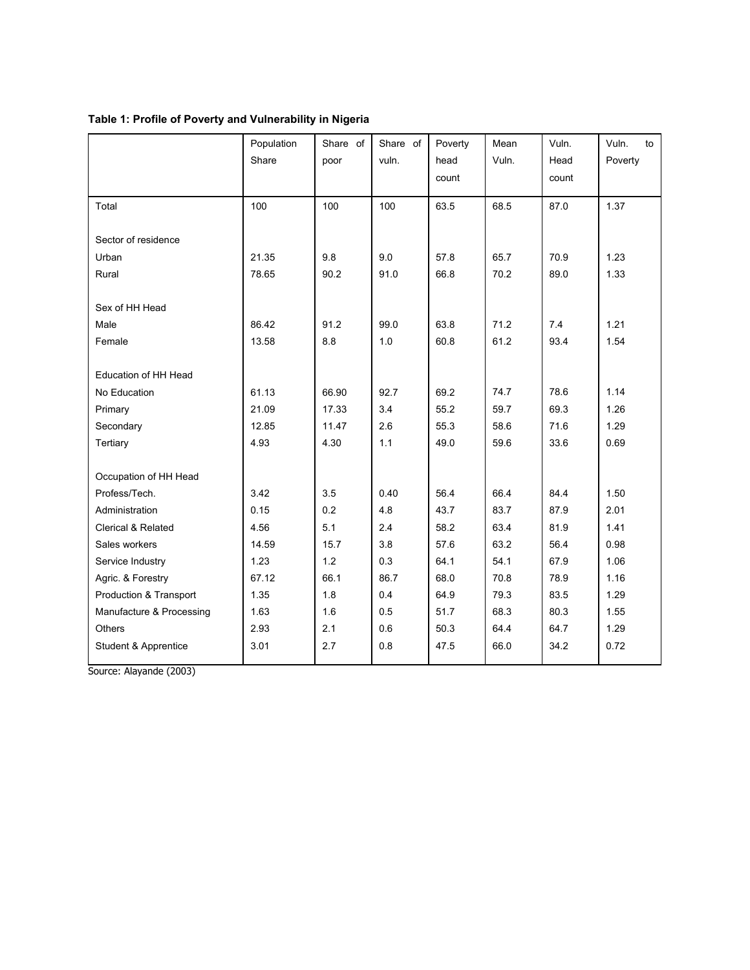|                               | Population<br>Share | Share of<br>poor | Share of<br>vuln. | Poverty<br>head | Mean<br>Vuln. | Vuln.<br>Head | Vuln.<br>to<br>Poverty |
|-------------------------------|---------------------|------------------|-------------------|-----------------|---------------|---------------|------------------------|
|                               |                     |                  |                   | count           |               | count         |                        |
| Total                         | 100                 | 100              | 100               | 63.5            | 68.5          | 87.0          | 1.37                   |
| Sector of residence           |                     |                  |                   |                 |               |               |                        |
| Urban                         | 21.35               | 9.8              | 9.0               | 57.8            | 65.7          | 70.9          | 1.23                   |
| Rural                         | 78.65               | 90.2             | 91.0              | 66.8            | 70.2          | 89.0          | 1.33                   |
| Sex of HH Head                |                     |                  |                   |                 |               |               |                        |
| Male                          | 86.42               | 91.2             | 99.0              | 63.8            | 71.2          | 7.4           | 1.21                   |
| Female                        | 13.58               | 8.8              | 1.0               | 60.8            | 61.2          | 93.4          | 1.54                   |
| Education of HH Head          |                     |                  |                   |                 |               |               |                        |
| No Education                  | 61.13               | 66.90            | 92.7              | 69.2            | 74.7          | 78.6          | 1.14                   |
| Primary                       | 21.09               | 17.33            | 3.4               | 55.2            | 59.7          | 69.3          | 1.26                   |
| Secondary                     | 12.85               | 11.47            | 2.6               | 55.3            | 58.6          | 71.6          | 1.29                   |
| Tertiary                      | 4.93                | 4.30             | 1.1               | 49.0            | 59.6          | 33.6          | 0.69                   |
|                               |                     |                  |                   |                 |               |               |                        |
| Occupation of HH Head         |                     |                  |                   |                 |               |               |                        |
| Profess/Tech.                 | 3.42                | 3.5              | 0.40              | 56.4            | 66.4          | 84.4          | 1.50                   |
| Administration                | 0.15                | 0.2              | 4.8               | 43.7            | 83.7          | 87.9          | 2.01                   |
| <b>Clerical &amp; Related</b> | 4.56                | 5.1              | 2.4               | 58.2            | 63.4          | 81.9          | 1.41                   |
| Sales workers                 | 14.59               | 15.7             | 3.8               | 57.6            | 63.2          | 56.4          | 0.98                   |
| Service Industry              | 1.23                | 1.2              | 0.3               | 64.1            | 54.1          | 67.9          | 1.06                   |
| Agric. & Forestry             | 67.12               | 66.1             | 86.7              | 68.0            | 70.8          | 78.9          | 1.16                   |
| Production & Transport        | 1.35                | 1.8              | 0.4               | 64.9            | 79.3          | 83.5          | 1.29                   |
| Manufacture & Processing      | 1.63                | 1.6              | 0.5               | 51.7            | 68.3          | 80.3          | 1.55                   |
| <b>Others</b>                 | 2.93                | 2.1              | 0.6               | 50.3            | 64.4          | 64.7          | 1.29                   |
| Student & Apprentice          | 3.01                | 2.7              | 0.8               | 47.5            | 66.0          | 34.2          | 0.72                   |

### **Table 1: Profile of Poverty and Vulnerability in Nigeria**

Source: Alayande (2003)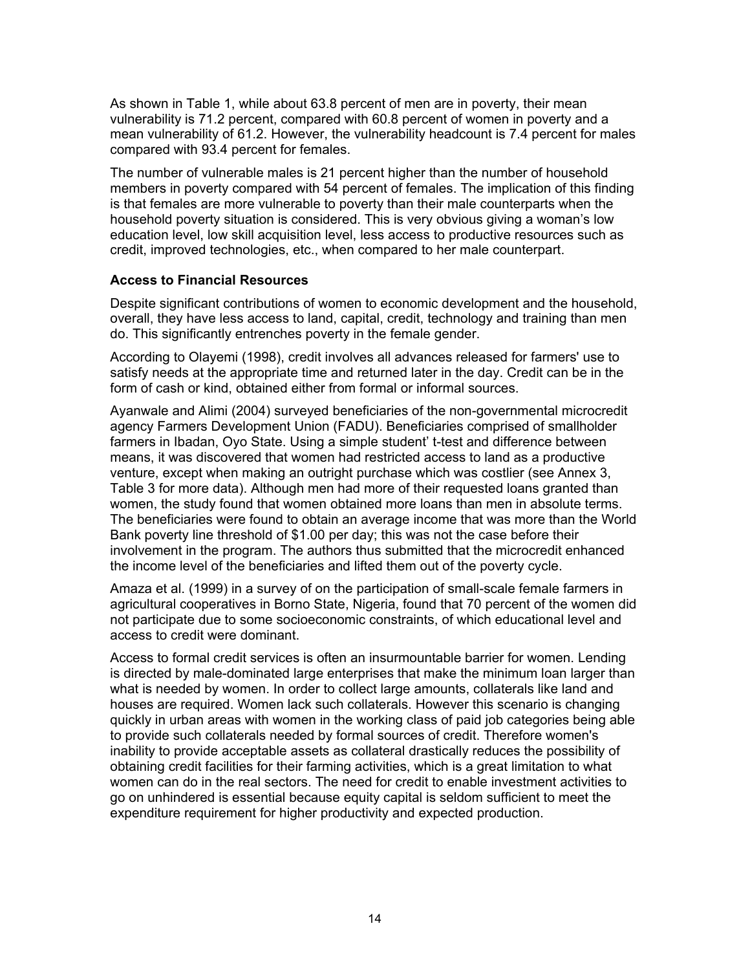As shown in Table 1, while about 63.8 percent of men are in poverty, their mean vulnerability is 71.2 percent, compared with 60.8 percent of women in poverty and a mean vulnerability of 61.2. However, the vulnerability headcount is 7.4 percent for males compared with 93.4 percent for females.

The number of vulnerable males is 21 percent higher than the number of household members in poverty compared with 54 percent of females. The implication of this finding is that females are more vulnerable to poverty than their male counterparts when the household poverty situation is considered. This is very obvious giving a woman's low education level, low skill acquisition level, less access to productive resources such as credit, improved technologies, etc., when compared to her male counterpart.

#### **Access to Financial Resources**

Despite significant contributions of women to economic development and the household, overall, they have less access to land, capital, credit, technology and training than men do. This significantly entrenches poverty in the female gender.

According to Olayemi (1998), credit involves all advances released for farmers' use to satisfy needs at the appropriate time and returned later in the day. Credit can be in the form of cash or kind, obtained either from formal or informal sources.

Ayanwale and Alimi (2004) surveyed beneficiaries of the non-governmental microcredit agency Farmers Development Union (FADU). Beneficiaries comprised of smallholder farmers in Ibadan, Oyo State. Using a simple student' t-test and difference between means, it was discovered that women had restricted access to land as a productive venture, except when making an outright purchase which was costlier (see Annex 3, Table 3 for more data). Although men had more of their requested loans granted than women, the study found that women obtained more loans than men in absolute terms. The beneficiaries were found to obtain an average income that was more than the World Bank poverty line threshold of \$1.00 per day; this was not the case before their involvement in the program. The authors thus submitted that the microcredit enhanced the income level of the beneficiaries and lifted them out of the poverty cycle.

Amaza et al. (1999) in a survey of on the participation of small-scale female farmers in agricultural cooperatives in Borno State, Nigeria, found that 70 percent of the women did not participate due to some socioeconomic constraints, of which educational level and access to credit were dominant.

Access to formal credit services is often an insurmountable barrier for women. Lending is directed by male-dominated large enterprises that make the minimum loan larger than what is needed by women. In order to collect large amounts, collaterals like land and houses are required. Women lack such collaterals. However this scenario is changing quickly in urban areas with women in the working class of paid job categories being able to provide such collaterals needed by formal sources of credit. Therefore women's inability to provide acceptable assets as collateral drastically reduces the possibility of obtaining credit facilities for their farming activities, which is a great limitation to what women can do in the real sectors. The need for credit to enable investment activities to go on unhindered is essential because equity capital is seldom sufficient to meet the expenditure requirement for higher productivity and expected production.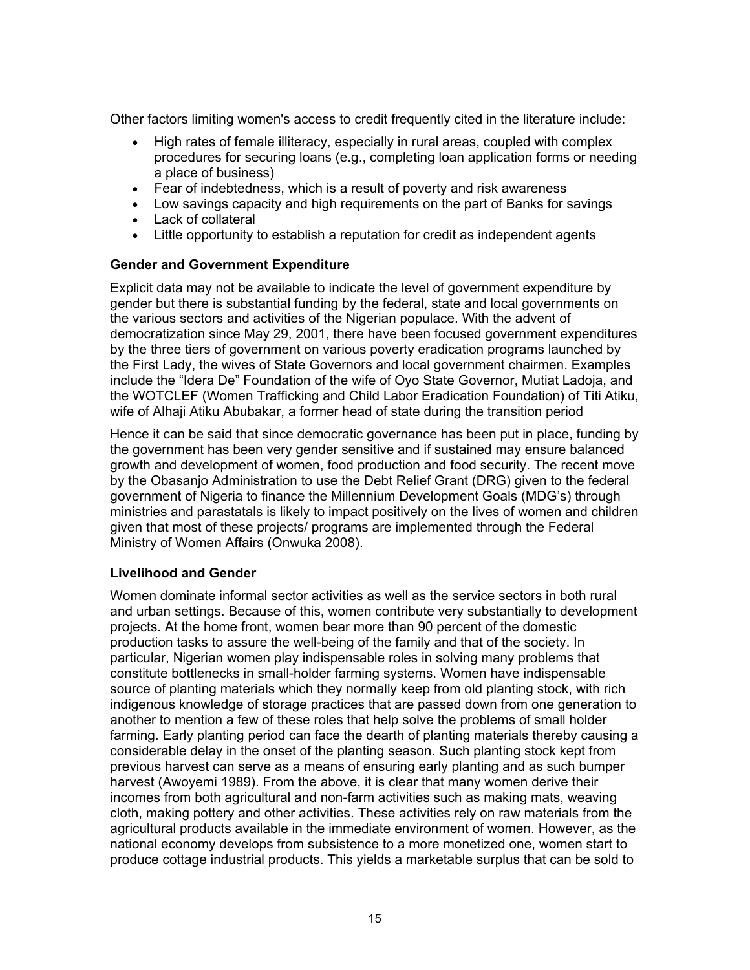Other factors limiting women's access to credit frequently cited in the literature include:

- High rates of female illiteracy, especially in rural areas, coupled with complex procedures for securing loans (e.g., completing loan application forms or needing a place of business)
- Fear of indebtedness, which is a result of poverty and risk awareness
- Low savings capacity and high requirements on the part of Banks for savings
- Lack of collateral
- Little opportunity to establish a reputation for credit as independent agents

#### **Gender and Government Expenditure**

Explicit data may not be available to indicate the level of government expenditure by gender but there is substantial funding by the federal, state and local governments on the various sectors and activities of the Nigerian populace. With the advent of democratization since May 29, 2001, there have been focused government expenditures by the three tiers of government on various poverty eradication programs launched by the First Lady, the wives of State Governors and local government chairmen. Examples include the "Idera De" Foundation of the wife of Oyo State Governor, Mutiat Ladoja, and the WOTCLEF (Women Trafficking and Child Labor Eradication Foundation) of Titi Atiku, wife of Alhaji Atiku Abubakar, a former head of state during the transition period

Hence it can be said that since democratic governance has been put in place, funding by the government has been very gender sensitive and if sustained may ensure balanced growth and development of women, food production and food security. The recent move by the Obasanjo Administration to use the Debt Relief Grant (DRG) given to the federal government of Nigeria to finance the Millennium Development Goals (MDG's) through ministries and parastatals is likely to impact positively on the lives of women and children given that most of these projects/ programs are implemented through the Federal Ministry of Women Affairs (Onwuka 2008).

### **Livelihood and Gender**

Women dominate informal sector activities as well as the service sectors in both rural and urban settings. Because of this, women contribute very substantially to development projects. At the home front, women bear more than 90 percent of the domestic production tasks to assure the well-being of the family and that of the society. In particular, Nigerian women play indispensable roles in solving many problems that constitute bottlenecks in small-holder farming systems. Women have indispensable source of planting materials which they normally keep from old planting stock, with rich indigenous knowledge of storage practices that are passed down from one generation to another to mention a few of these roles that help solve the problems of small holder farming. Early planting period can face the dearth of planting materials thereby causing a considerable delay in the onset of the planting season. Such planting stock kept from previous harvest can serve as a means of ensuring early planting and as such bumper harvest (Awoyemi 1989). From the above, it is clear that many women derive their incomes from both agricultural and non-farm activities such as making mats, weaving cloth, making pottery and other activities. These activities rely on raw materials from the agricultural products available in the immediate environment of women. However, as the national economy develops from subsistence to a more monetized one, women start to produce cottage industrial products. This yields a marketable surplus that can be sold to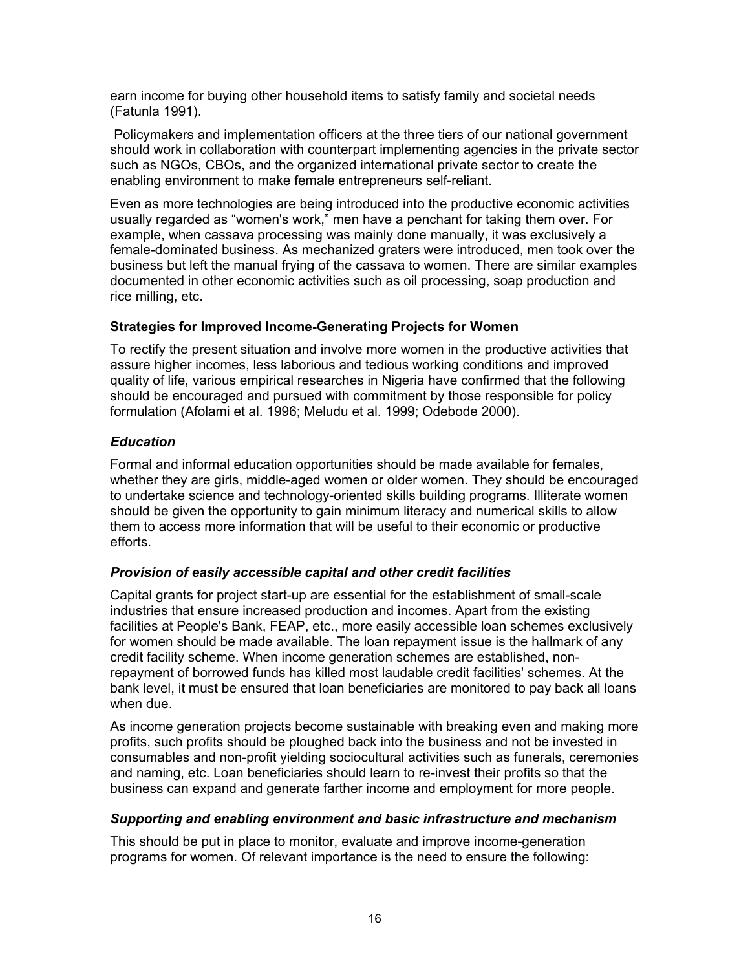earn income for buying other household items to satisfy family and societal needs (Fatunla 1991).

 Policymakers and implementation officers at the three tiers of our national government should work in collaboration with counterpart implementing agencies in the private sector such as NGOs, CBOs, and the organized international private sector to create the enabling environment to make female entrepreneurs self-reliant.

Even as more technologies are being introduced into the productive economic activities usually regarded as "women's work," men have a penchant for taking them over. For example, when cassava processing was mainly done manually, it was exclusively a female-dominated business. As mechanized graters were introduced, men took over the business but left the manual frying of the cassava to women. There are similar examples documented in other economic activities such as oil processing, soap production and rice milling, etc.

### **Strategies for Improved Income-Generating Projects for Women**

To rectify the present situation and involve more women in the productive activities that assure higher incomes, less laborious and tedious working conditions and improved quality of life, various empirical researches in Nigeria have confirmed that the following should be encouraged and pursued with commitment by those responsible for policy formulation (Afolami et al. 1996; Meludu et al. 1999; Odebode 2000).

### *Education*

Formal and informal education opportunities should be made available for females, whether they are girls, middle-aged women or older women. They should be encouraged to undertake science and technology-oriented skills building programs. Illiterate women should be given the opportunity to gain minimum literacy and numerical skills to allow them to access more information that will be useful to their economic or productive efforts.

### *Provision of easily accessible capital and other credit facilities*

Capital grants for project start-up are essential for the establishment of small-scale industries that ensure increased production and incomes. Apart from the existing facilities at People's Bank, FEAP, etc., more easily accessible loan schemes exclusively for women should be made available. The loan repayment issue is the hallmark of any credit facility scheme. When income generation schemes are established, nonrepayment of borrowed funds has killed most laudable credit facilities' schemes. At the bank level, it must be ensured that loan beneficiaries are monitored to pay back all loans when due.

As income generation projects become sustainable with breaking even and making more profits, such profits should be ploughed back into the business and not be invested in consumables and non-profit yielding sociocultural activities such as funerals, ceremonies and naming, etc. Loan beneficiaries should learn to re-invest their profits so that the business can expand and generate farther income and employment for more people.

### *Supporting and enabling environment and basic infrastructure and mechanism*

This should be put in place to monitor, evaluate and improve income-generation programs for women. Of relevant importance is the need to ensure the following: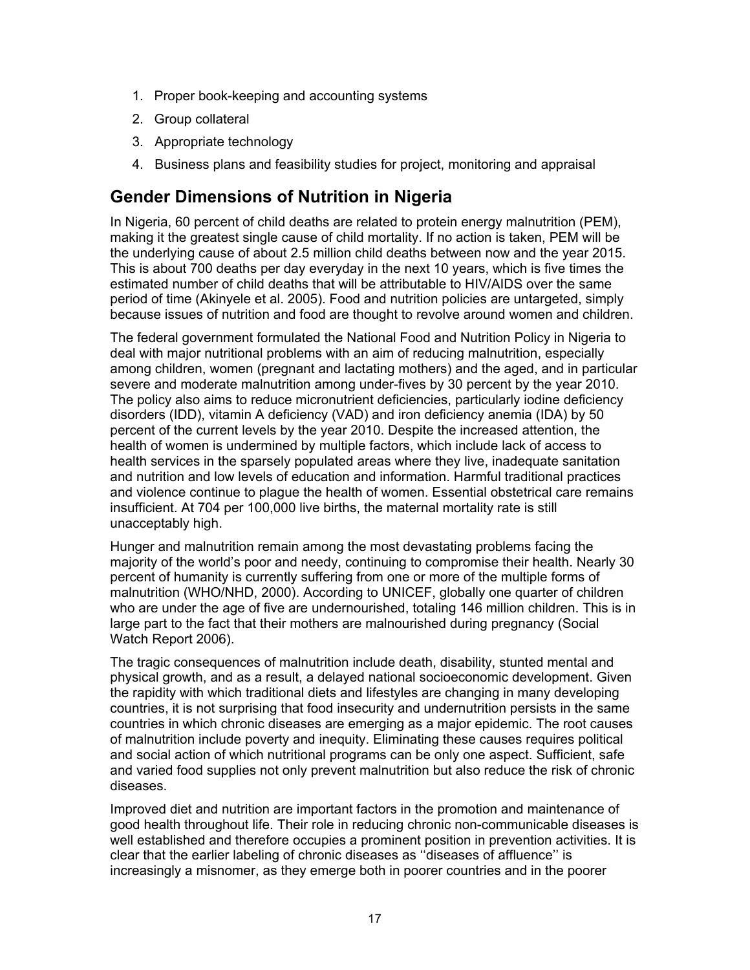- 1. Proper book-keeping and accounting systems
- 2. Group collateral
- 3. Appropriate technology
- 4. Business plans and feasibility studies for project, monitoring and appraisal

### **Gender Dimensions of Nutrition in Nigeria**

In Nigeria, 60 percent of child deaths are related to protein energy malnutrition (PEM), making it the greatest single cause of child mortality. If no action is taken, PEM will be the underlying cause of about 2.5 million child deaths between now and the year 2015. This is about 700 deaths per day everyday in the next 10 years, which is five times the estimated number of child deaths that will be attributable to HIV/AIDS over the same period of time (Akinyele et al. 2005). Food and nutrition policies are untargeted, simply because issues of nutrition and food are thought to revolve around women and children.

The federal government formulated the National Food and Nutrition Policy in Nigeria to deal with major nutritional problems with an aim of reducing malnutrition, especially among children, women (pregnant and lactating mothers) and the aged, and in particular severe and moderate malnutrition among under-fives by 30 percent by the year 2010. The policy also aims to reduce micronutrient deficiencies, particularly iodine deficiency disorders (IDD), vitamin A deficiency (VAD) and iron deficiency anemia (IDA) by 50 percent of the current levels by the year 2010. Despite the increased attention, the health of women is undermined by multiple factors, which include lack of access to health services in the sparsely populated areas where they live, inadequate sanitation and nutrition and low levels of education and information. Harmful traditional practices and violence continue to plague the health of women. Essential obstetrical care remains insufficient. At 704 per 100,000 live births, the maternal mortality rate is still unacceptably high.

Hunger and malnutrition remain among the most devastating problems facing the majority of the world's poor and needy, continuing to compromise their health. Nearly 30 percent of humanity is currently suffering from one or more of the multiple forms of malnutrition (WHO/NHD, 2000). According to UNICEF, globally one quarter of children who are under the age of five are undernourished, totaling 146 million children. This is in large part to the fact that their mothers are malnourished during pregnancy (Social Watch Report 2006).

The tragic consequences of malnutrition include death, disability, stunted mental and physical growth, and as a result, a delayed national socioeconomic development. Given the rapidity with which traditional diets and lifestyles are changing in many developing countries, it is not surprising that food insecurity and undernutrition persists in the same countries in which chronic diseases are emerging as a major epidemic. The root causes of malnutrition include poverty and inequity. Eliminating these causes requires political and social action of which nutritional programs can be only one aspect. Sufficient, safe and varied food supplies not only prevent malnutrition but also reduce the risk of chronic diseases.

Improved diet and nutrition are important factors in the promotion and maintenance of good health throughout life. Their role in reducing chronic non-communicable diseases is well established and therefore occupies a prominent position in prevention activities. It is clear that the earlier labeling of chronic diseases as ''diseases of affluence'' is increasingly a misnomer, as they emerge both in poorer countries and in the poorer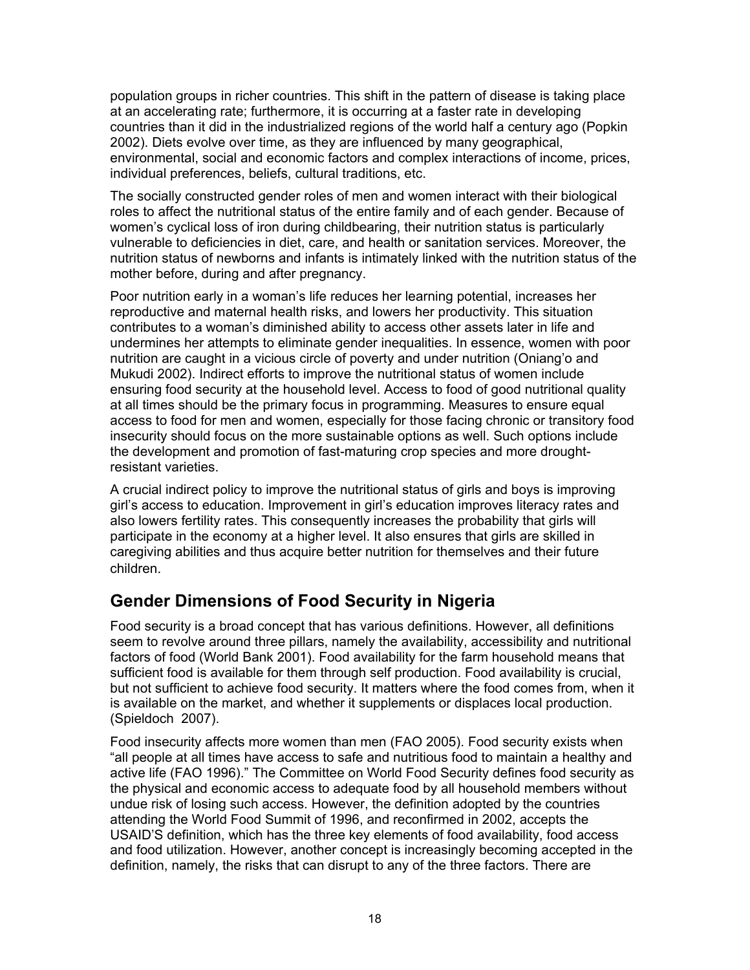population groups in richer countries. This shift in the pattern of disease is taking place at an accelerating rate; furthermore, it is occurring at a faster rate in developing countries than it did in the industrialized regions of the world half a century ago (Popkin 2002). Diets evolve over time, as they are influenced by many geographical, environmental, social and economic factors and complex interactions of income, prices, individual preferences, beliefs, cultural traditions, etc.

The socially constructed gender roles of men and women interact with their biological roles to affect the nutritional status of the entire family and of each gender. Because of women's cyclical loss of iron during childbearing, their nutrition status is particularly vulnerable to deficiencies in diet, care, and health or sanitation services. Moreover, the nutrition status of newborns and infants is intimately linked with the nutrition status of the mother before, during and after pregnancy.

Poor nutrition early in a woman's life reduces her learning potential, increases her reproductive and maternal health risks, and lowers her productivity. This situation contributes to a woman's diminished ability to access other assets later in life and undermines her attempts to eliminate gender inequalities. In essence, women with poor nutrition are caught in a vicious circle of poverty and under nutrition (Oniang'o and Mukudi 2002). Indirect efforts to improve the nutritional status of women include ensuring food security at the household level. Access to food of good nutritional quality at all times should be the primary focus in programming. Measures to ensure equal access to food for men and women, especially for those facing chronic or transitory food insecurity should focus on the more sustainable options as well. Such options include the development and promotion of fast-maturing crop species and more droughtresistant varieties.

A crucial indirect policy to improve the nutritional status of girls and boys is improving girl's access to education. Improvement in girl's education improves literacy rates and also lowers fertility rates. This consequently increases the probability that girls will participate in the economy at a higher level. It also ensures that girls are skilled in caregiving abilities and thus acquire better nutrition for themselves and their future children.

# **Gender Dimensions of Food Security in Nigeria**

Food security is a broad concept that has various definitions. However, all definitions seem to revolve around three pillars, namely the availability, accessibility and nutritional factors of food (World Bank 2001). Food availability for the farm household means that sufficient food is available for them through self production. Food availability is crucial, but not sufficient to achieve food security. It matters where the food comes from, when it is available on the market, and whether it supplements or displaces local production. (Spieldoch 2007).

Food insecurity affects more women than men (FAO 2005). Food security exists when "all people at all times have access to safe and nutritious food to maintain a healthy and active life (FAO 1996)." The Committee on World Food Security defines food security as the physical and economic access to adequate food by all household members without undue risk of losing such access. However, the definition adopted by the countries attending the World Food Summit of 1996, and reconfirmed in 2002, accepts the USAID'S definition, which has the three key elements of food availability, food access and food utilization. However, another concept is increasingly becoming accepted in the definition, namely, the risks that can disrupt to any of the three factors. There are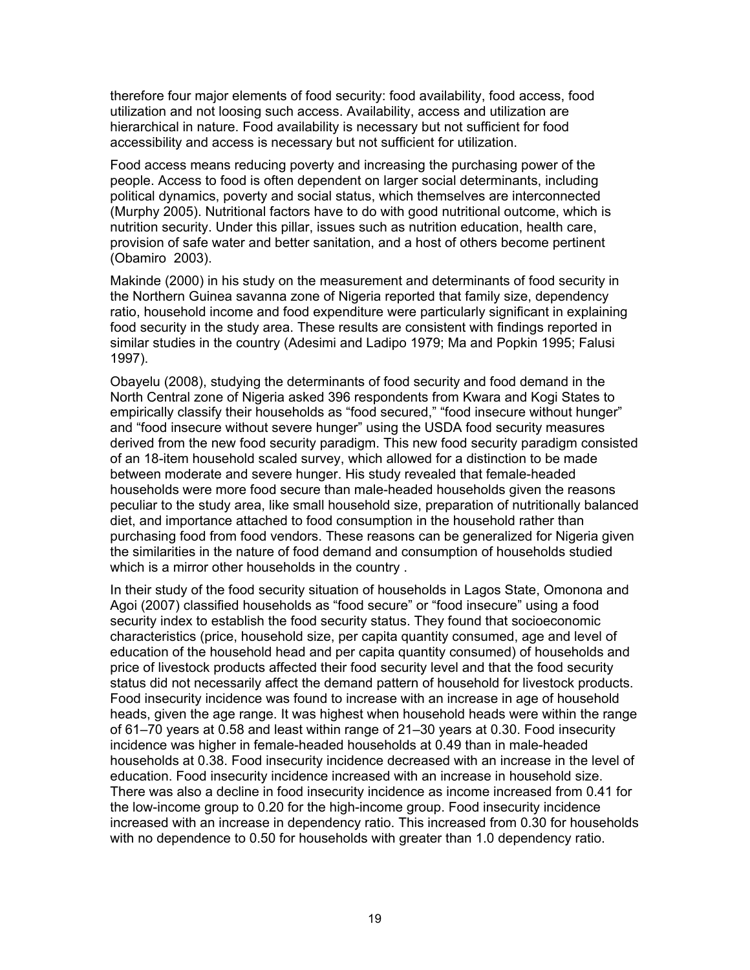therefore four major elements of food security: food availability, food access, food utilization and not loosing such access. Availability, access and utilization are hierarchical in nature. Food availability is necessary but not sufficient for food accessibility and access is necessary but not sufficient for utilization.

Food access means reducing poverty and increasing the purchasing power of the people. Access to food is often dependent on larger social determinants, including political dynamics, poverty and social status, which themselves are interconnected (Murphy 2005). Nutritional factors have to do with good nutritional outcome, which is nutrition security. Under this pillar, issues such as nutrition education, health care, provision of safe water and better sanitation, and a host of others become pertinent (Obamiro 2003).

Makinde (2000) in his study on the measurement and determinants of food security in the Northern Guinea savanna zone of Nigeria reported that family size, dependency ratio, household income and food expenditure were particularly significant in explaining food security in the study area. These results are consistent with findings reported in similar studies in the country (Adesimi and Ladipo 1979; Ma and Popkin 1995; Falusi 1997).

Obayelu (2008), studying the determinants of food security and food demand in the North Central zone of Nigeria asked 396 respondents from Kwara and Kogi States to empirically classify their households as "food secured," "food insecure without hunger" and "food insecure without severe hunger" using the USDA food security measures derived from the new food security paradigm. This new food security paradigm consisted of an 18-item household scaled survey, which allowed for a distinction to be made between moderate and severe hunger. His study revealed that female-headed households were more food secure than male-headed households given the reasons peculiar to the study area, like small household size, preparation of nutritionally balanced diet, and importance attached to food consumption in the household rather than purchasing food from food vendors. These reasons can be generalized for Nigeria given the similarities in the nature of food demand and consumption of households studied which is a mirror other households in the country .

In their study of the food security situation of households in Lagos State, Omonona and Agoi (2007) classified households as "food secure" or "food insecure" using a food security index to establish the food security status. They found that socioeconomic characteristics (price, household size, per capita quantity consumed, age and level of education of the household head and per capita quantity consumed) of households and price of livestock products affected their food security level and that the food security status did not necessarily affect the demand pattern of household for livestock products. Food insecurity incidence was found to increase with an increase in age of household heads, given the age range. It was highest when household heads were within the range of 61–70 years at 0.58 and least within range of 21–30 years at 0.30. Food insecurity incidence was higher in female-headed households at 0.49 than in male-headed households at 0.38. Food insecurity incidence decreased with an increase in the level of education. Food insecurity incidence increased with an increase in household size. There was also a decline in food insecurity incidence as income increased from 0.41 for the low-income group to 0.20 for the high-income group. Food insecurity incidence increased with an increase in dependency ratio. This increased from 0.30 for households with no dependence to 0.50 for households with greater than 1.0 dependency ratio.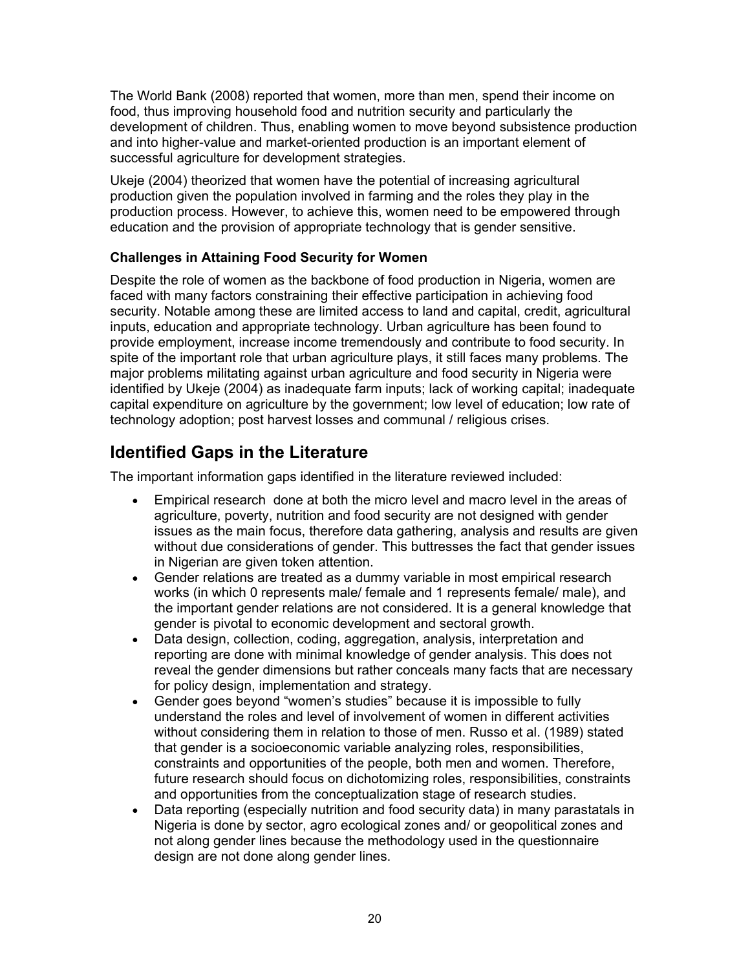The World Bank (2008) reported that women, more than men, spend their income on food, thus improving household food and nutrition security and particularly the development of children. Thus, enabling women to move beyond subsistence production and into higher-value and market-oriented production is an important element of successful agriculture for development strategies.

Ukeje (2004) theorized that women have the potential of increasing agricultural production given the population involved in farming and the roles they play in the production process. However, to achieve this, women need to be empowered through education and the provision of appropriate technology that is gender sensitive.

### **Challenges in Attaining Food Security for Women**

Despite the role of women as the backbone of food production in Nigeria, women are faced with many factors constraining their effective participation in achieving food security. Notable among these are limited access to land and capital, credit, agricultural inputs, education and appropriate technology. Urban agriculture has been found to provide employment, increase income tremendously and contribute to food security. In spite of the important role that urban agriculture plays, it still faces many problems. The major problems militating against urban agriculture and food security in Nigeria were identified by Ukeje (2004) as inadequate farm inputs; lack of working capital; inadequate capital expenditure on agriculture by the government; low level of education; low rate of technology adoption; post harvest losses and communal / religious crises.

# **Identified Gaps in the Literature**

The important information gaps identified in the literature reviewed included:

- Empirical research done at both the micro level and macro level in the areas of agriculture, poverty, nutrition and food security are not designed with gender issues as the main focus, therefore data gathering, analysis and results are given without due considerations of gender. This buttresses the fact that gender issues in Nigerian are given token attention.
- Gender relations are treated as a dummy variable in most empirical research works (in which 0 represents male/ female and 1 represents female/ male), and the important gender relations are not considered. It is a general knowledge that gender is pivotal to economic development and sectoral growth.
- Data design, collection, coding, aggregation, analysis, interpretation and reporting are done with minimal knowledge of gender analysis. This does not reveal the gender dimensions but rather conceals many facts that are necessary for policy design, implementation and strategy.
- Gender goes beyond "women's studies" because it is impossible to fully understand the roles and level of involvement of women in different activities without considering them in relation to those of men. Russo et al. (1989) stated that gender is a socioeconomic variable analyzing roles, responsibilities, constraints and opportunities of the people, both men and women. Therefore, future research should focus on dichotomizing roles, responsibilities, constraints and opportunities from the conceptualization stage of research studies.
- Data reporting (especially nutrition and food security data) in many parastatals in Nigeria is done by sector, agro ecological zones and/ or geopolitical zones and not along gender lines because the methodology used in the questionnaire design are not done along gender lines.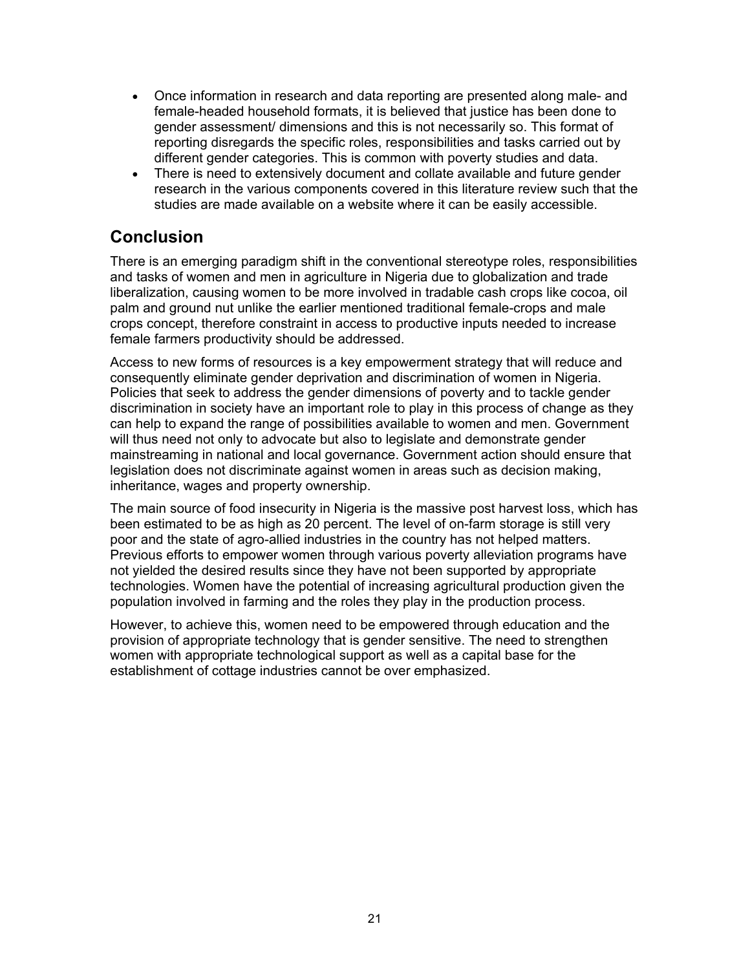- Once information in research and data reporting are presented along male- and female-headed household formats, it is believed that justice has been done to gender assessment/ dimensions and this is not necessarily so. This format of reporting disregards the specific roles, responsibilities and tasks carried out by different gender categories. This is common with poverty studies and data.
- There is need to extensively document and collate available and future gender research in the various components covered in this literature review such that the studies are made available on a website where it can be easily accessible.

### **Conclusion**

There is an emerging paradigm shift in the conventional stereotype roles, responsibilities and tasks of women and men in agriculture in Nigeria due to globalization and trade liberalization, causing women to be more involved in tradable cash crops like cocoa, oil palm and ground nut unlike the earlier mentioned traditional female-crops and male crops concept, therefore constraint in access to productive inputs needed to increase female farmers productivity should be addressed.

Access to new forms of resources is a key empowerment strategy that will reduce and consequently eliminate gender deprivation and discrimination of women in Nigeria. Policies that seek to address the gender dimensions of poverty and to tackle gender discrimination in society have an important role to play in this process of change as they can help to expand the range of possibilities available to women and men. Government will thus need not only to advocate but also to legislate and demonstrate gender mainstreaming in national and local governance. Government action should ensure that legislation does not discriminate against women in areas such as decision making, inheritance, wages and property ownership.

The main source of food insecurity in Nigeria is the massive post harvest loss, which has been estimated to be as high as 20 percent. The level of on-farm storage is still very poor and the state of agro-allied industries in the country has not helped matters. Previous efforts to empower women through various poverty alleviation programs have not yielded the desired results since they have not been supported by appropriate technologies. Women have the potential of increasing agricultural production given the population involved in farming and the roles they play in the production process.

However, to achieve this, women need to be empowered through education and the provision of appropriate technology that is gender sensitive. The need to strengthen women with appropriate technological support as well as a capital base for the establishment of cottage industries cannot be over emphasized.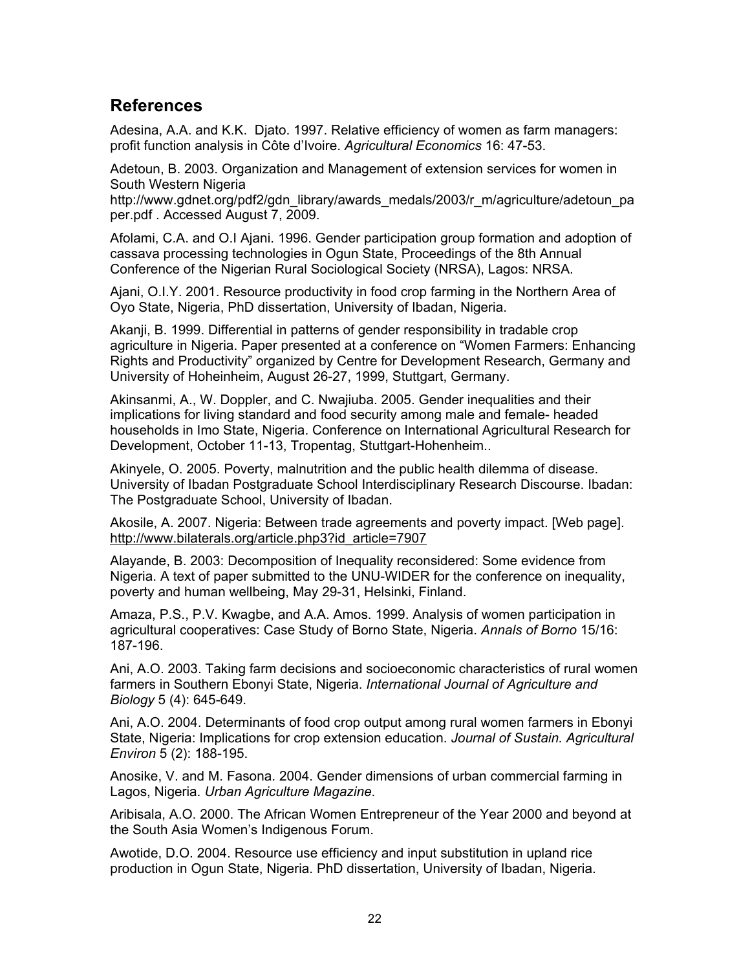### **References**

Adesina, A.A. and K.K. Djato. 1997. Relative efficiency of women as farm managers: profit function analysis in Côte d'Ivoire. *Agricultural Economics* 16: 47-53.

Adetoun, B. 2003. Organization and Management of extension services for women in South Western Nigeria

http://www.gdnet.org/pdf2/gdn\_library/awards\_medals/2003/r\_m/agriculture/adetoun\_pa per.pdf . Accessed August 7, 2009.

Afolami, C.A. and O.I Ajani. 1996. Gender participation group formation and adoption of cassava processing technologies in Ogun State, Proceedings of the 8th Annual Conference of the Nigerian Rural Sociological Society (NRSA), Lagos: NRSA.

Ajani, O.I.Y. 2001. Resource productivity in food crop farming in the Northern Area of Oyo State, Nigeria, PhD dissertation, University of Ibadan, Nigeria.

Akanji, B. 1999. Differential in patterns of gender responsibility in tradable crop agriculture in Nigeria. Paper presented at a conference on "Women Farmers: Enhancing Rights and Productivity" organized by Centre for Development Research, Germany and University of Hoheinheim, August 26-27, 1999, Stuttgart, Germany.

Akinsanmi, A., W. Doppler, and C. Nwajiuba. 2005. Gender inequalities and their implications for living standard and food security among male and female- headed households in Imo State, Nigeria. Conference on International Agricultural Research for Development, October 11-13, Tropentag, Stuttgart-Hohenheim..

Akinyele, O. 2005. Poverty, malnutrition and the public health dilemma of disease. University of Ibadan Postgraduate School Interdisciplinary Research Discourse. Ibadan: The Postgraduate School, University of Ibadan.

Akosile, A. 2007. Nigeria: Between trade agreements and poverty impact. [Web page]. http://www.bilaterals.org/article.php3?id\_article=7907

Alayande, B. 2003: Decomposition of Inequality reconsidered: Some evidence from Nigeria. A text of paper submitted to the UNU-WIDER for the conference on inequality, poverty and human wellbeing, May 29-31, Helsinki, Finland.

Amaza, P.S., P.V. Kwagbe, and A.A. Amos. 1999. Analysis of women participation in agricultural cooperatives: Case Study of Borno State, Nigeria. *Annals of Borno* 15/16: 187-196.

Ani, A.O. 2003. Taking farm decisions and socioeconomic characteristics of rural women farmers in Southern Ebonyi State, Nigeria. *International Journal of Agriculture and Biology* 5 (4): 645-649.

Ani, A.O. 2004. Determinants of food crop output among rural women farmers in Ebonyi State, Nigeria: Implications for crop extension education. *Journal of Sustain. Agricultural Environ* 5 (2): 188-195.

Anosike, V. and M. Fasona. 2004. Gender dimensions of urban commercial farming in Lagos, Nigeria. *Urban Agriculture Magazine*.

Aribisala, A.O. 2000. The African Women Entrepreneur of the Year 2000 and beyond at the South Asia Women's Indigenous Forum.

Awotide, D.O. 2004. Resource use efficiency and input substitution in upland rice production in Ogun State, Nigeria. PhD dissertation, University of Ibadan, Nigeria.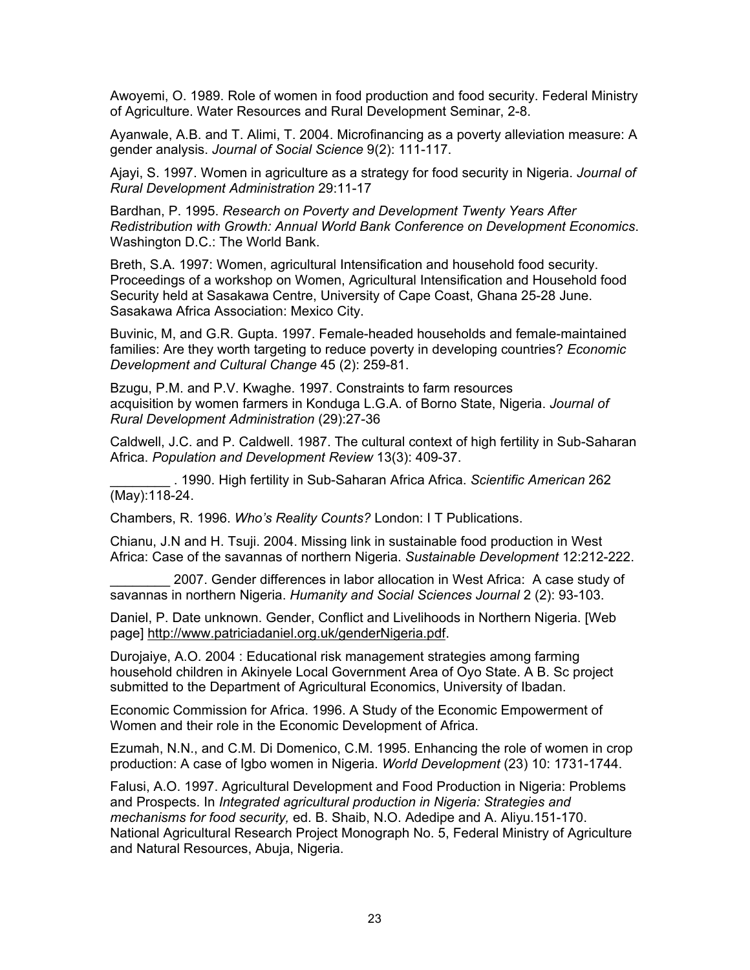Awoyemi, O. 1989. Role of women in food production and food security. Federal Ministry of Agriculture. Water Resources and Rural Development Seminar, 2-8.

Ayanwale, A.B. and T. Alimi, T. 2004. Microfinancing as a poverty alleviation measure: A gender analysis. *Journal of Social Science* 9(2): 111-117.

Ajayi, S. 1997. Women in agriculture as a strategy for food security in Nigeria. *Journal of Rural Development Administration* 29:11-17

Bardhan, P. 1995. *Research on Poverty and Development Twenty Years After Redistribution with Growth: Annual World Bank Conference on Development Economics*. Washington D.C.: The World Bank.

Breth, S.A. 1997: Women, agricultural Intensification and household food security. Proceedings of a workshop on Women, Agricultural Intensification and Household food Security held at Sasakawa Centre, University of Cape Coast, Ghana 25-28 June. Sasakawa Africa Association: Mexico City.

Buvinic, M, and G.R. Gupta. 1997. Female-headed households and female-maintained families: Are they worth targeting to reduce poverty in developing countries? *Economic Development and Cultural Change* 45 (2): 259-81.

Bzugu, P.M. and P.V. Kwaghe. 1997. Constraints to farm resources acquisition by women farmers in Konduga L.G.A. of Borno State, Nigeria. *Journal of Rural Development Administration* (29):27-36

Caldwell, J.C. and P. Caldwell. 1987. The cultural context of high fertility in Sub-Saharan Africa. *Population and Development Review* 13(3): 409-37.

\_\_\_\_\_\_\_\_ . 1990. High fertility in Sub-Saharan Africa Africa. *Scientific American* 262 (May):118-24.

Chambers, R. 1996. *Who's Reality Counts?* London: I T Publications.

Chianu, J.N and H. Tsuji. 2004. Missing link in sustainable food production in West Africa: Case of the savannas of northern Nigeria. *Sustainable Development* 12:212-222.

2007. Gender differences in labor allocation in West Africa: A case study of savannas in northern Nigeria. *Humanity and Social Sciences Journal* 2 (2): 93-103.

Daniel, P. Date unknown. Gender, Conflict and Livelihoods in Northern Nigeria. [Web page] http://www.patriciadaniel.org.uk/genderNigeria.pdf.

Durojaiye, A.O. 2004 : Educational risk management strategies among farming household children in Akinyele Local Government Area of Oyo State. A B. Sc project submitted to the Department of Agricultural Economics, University of Ibadan.

Economic Commission for Africa. 1996. A Study of the Economic Empowerment of Women and their role in the Economic Development of Africa.

Ezumah, N.N., and C.M. Di Domenico, C.M. 1995. Enhancing the role of women in crop production: A case of Igbo women in Nigeria. *World Development* (23) 10: 1731-1744.

Falusi, A.O. 1997. Agricultural Development and Food Production in Nigeria: Problems and Prospects. In *Integrated agricultural production in Nigeria: Strategies and mechanisms for food security,* ed. B. Shaib, N.O. Adedipe and A. Aliyu.151-170. National Agricultural Research Project Monograph No. 5, Federal Ministry of Agriculture and Natural Resources, Abuja, Nigeria.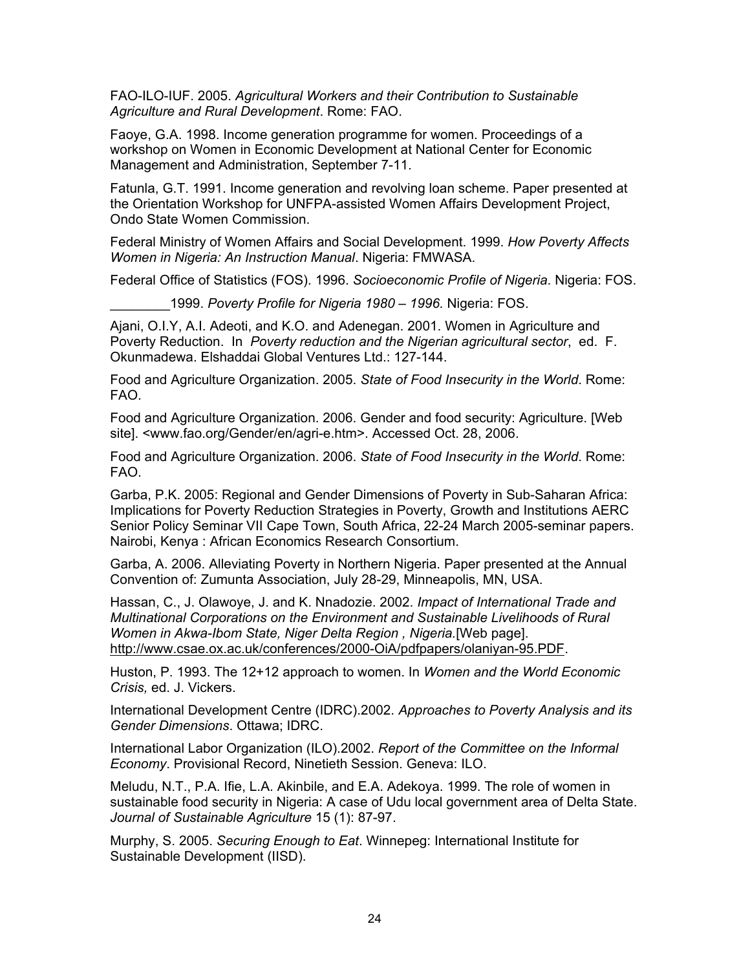FAO-ILO-IUF. 2005. *Agricultural Workers and their Contribution to Sustainable Agriculture and Rural Development*. Rome: FAO.

Faoye, G.A. 1998. Income generation programme for women. Proceedings of a workshop on Women in Economic Development at National Center for Economic Management and Administration, September 7-11.

Fatunla, G.T. 1991. Income generation and revolving loan scheme. Paper presented at the Orientation Workshop for UNFPA-assisted Women Affairs Development Project, Ondo State Women Commission.

Federal Ministry of Women Affairs and Social Development. 1999. *How Poverty Affects Women in Nigeria: An Instruction Manual*. Nigeria: FMWASA.

Federal Office of Statistics (FOS). 1996. *Socioeconomic Profile of Nigeria*. Nigeria: FOS.

\_\_\_\_\_\_\_\_1999. *Poverty Profile for Nigeria 1980 – 1996.* Nigeria: FOS.

Ajani, O.I.Y, A.I. Adeoti, and K.O. and Adenegan. 2001. Women in Agriculture and Poverty Reduction. In *Poverty reduction and the Nigerian agricultural sector*, ed. F. Okunmadewa. Elshaddai Global Ventures Ltd.: 127-144.

Food and Agriculture Organization. 2005. *State of Food Insecurity in the World*. Rome: FAO.

Food and Agriculture Organization. 2006. Gender and food security: Agriculture. [Web site]. <www.fao.org/Gender/en/agri-e.htm>. Accessed Oct. 28, 2006.

Food and Agriculture Organization. 2006. *State of Food Insecurity in the World*. Rome: FAO.

Garba, P.K. 2005: Regional and Gender Dimensions of Poverty in Sub-Saharan Africa: Implications for Poverty Reduction Strategies in Poverty, Growth and Institutions AERC Senior Policy Seminar VII Cape Town, South Africa, 22-24 March 2005-seminar papers. Nairobi, Kenya : African Economics Research Consortium.

Garba, A. 2006. Alleviating Poverty in Northern Nigeria. Paper presented at the Annual Convention of: Zumunta Association, July 28-29, Minneapolis, MN, USA.

Hassan, C., J. Olawoye, J. and K. Nnadozie. 2002. *Impact of International Trade and Multinational Corporations on the Environment and Sustainable Livelihoods of Rural Women in Akwa-Ibom State, Niger Delta Region , Nigeria.*[Web page]. http://www.csae.ox.ac.uk/conferences/2000-OiA/pdfpapers/olaniyan-95.PDF.

Huston, P. 1993. The 12+12 approach to women. In *Women and the World Economic Crisis,* ed. J. Vickers.

International Development Centre (IDRC).2002. *Approaches to Poverty Analysis and its Gender Dimensions*. Ottawa; IDRC.

International Labor Organization (ILO).2002. *Report of the Committee on the Informal Economy*. Provisional Record, Ninetieth Session. Geneva: ILO.

Meludu, N.T., P.A. Ifie, L.A. Akinbile, and E.A. Adekoya. 1999. The role of women in sustainable food security in Nigeria: A case of Udu local government area of Delta State. *Journal of Sustainable Agriculture* 15 (1): 87-97.

Murphy, S. 2005. *Securing Enough to Eat*. Winnepeg: International Institute for Sustainable Development (IISD).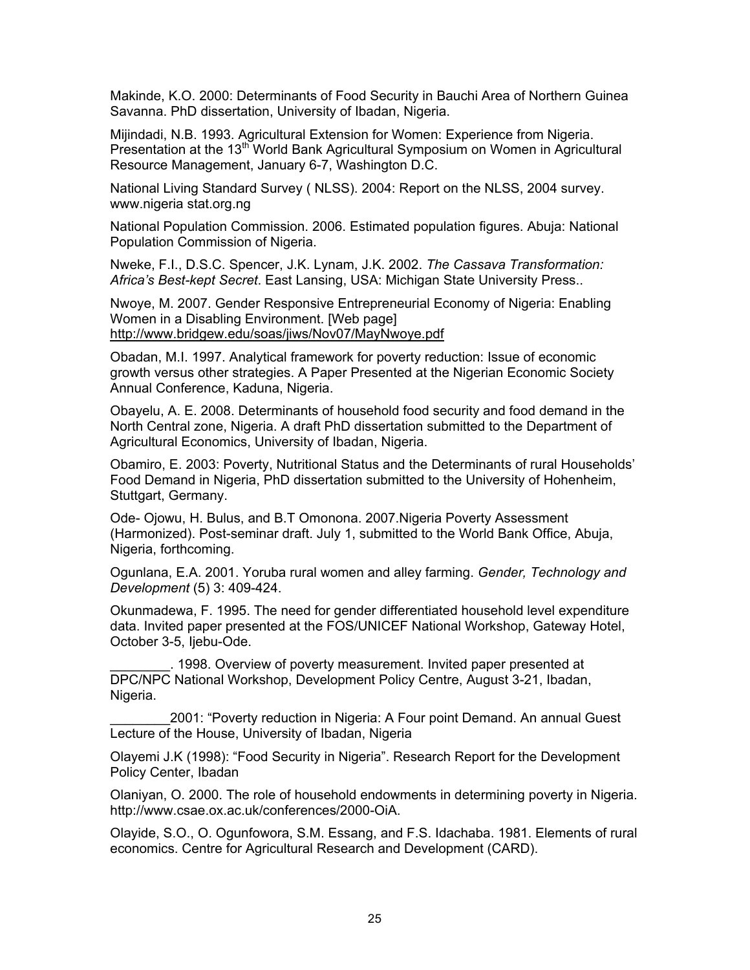Makinde, K.O. 2000: Determinants of Food Security in Bauchi Area of Northern Guinea Savanna. PhD dissertation, University of Ibadan, Nigeria.

Mijindadi, N.B. 1993. Agricultural Extension for Women: Experience from Nigeria. Presentation at the 13<sup>th</sup> World Bank Agricultural Symposium on Women in Agricultural Resource Management, January 6-7, Washington D.C.

National Living Standard Survey ( NLSS). 2004: Report on the NLSS, 2004 survey. www.nigeria stat.org.ng

National Population Commission. 2006. Estimated population figures. Abuja: National Population Commission of Nigeria.

Nweke, F.I., D.S.C. Spencer, J.K. Lynam, J.K. 2002. *The Cassava Transformation: Africa's Best-kept Secret*. East Lansing, USA: Michigan State University Press..

Nwoye, M. 2007. Gender Responsive Entrepreneurial Economy of Nigeria: Enabling Women in a Disabling Environment. [Web page] http://www.bridgew.edu/soas/jiws/Nov07/MayNwoye.pdf

Obadan, M.I. 1997. Analytical framework for poverty reduction: Issue of economic growth versus other strategies. A Paper Presented at the Nigerian Economic Society Annual Conference, Kaduna, Nigeria.

Obayelu, A. E. 2008. Determinants of household food security and food demand in the North Central zone, Nigeria. A draft PhD dissertation submitted to the Department of Agricultural Economics, University of Ibadan, Nigeria.

Obamiro, E. 2003: Poverty, Nutritional Status and the Determinants of rural Households' Food Demand in Nigeria, PhD dissertation submitted to the University of Hohenheim, Stuttgart, Germany.

Ode- Ojowu, H. Bulus, and B.T Omonona. 2007.Nigeria Poverty Assessment (Harmonized). Post-seminar draft. July 1, submitted to the World Bank Office, Abuja, Nigeria, forthcoming.

Ogunlana, E.A. 2001. Yoruba rural women and alley farming. *Gender, Technology and Development* (5) 3: 409-424.

Okunmadewa, F. 1995. The need for gender differentiated household level expenditure data. Invited paper presented at the FOS/UNICEF National Workshop, Gateway Hotel, October 3-5, Ijebu-Ode.

\_\_\_\_\_\_\_\_. 1998. Overview of poverty measurement. Invited paper presented at DPC/NPC National Workshop, Development Policy Centre, August 3-21, Ibadan, Nigeria.

\_\_\_\_\_\_\_\_2001: "Poverty reduction in Nigeria: A Four point Demand. An annual Guest Lecture of the House, University of Ibadan, Nigeria

Olayemi J.K (1998): "Food Security in Nigeria". Research Report for the Development Policy Center, Ibadan

Olaniyan, O. 2000. The role of household endowments in determining poverty in Nigeria. http://www.csae.ox.ac.uk/conferences/2000-OiA.

Olayide, S.O., O. Ogunfowora, S.M. Essang, and F.S. Idachaba. 1981. Elements of rural economics. Centre for Agricultural Research and Development (CARD).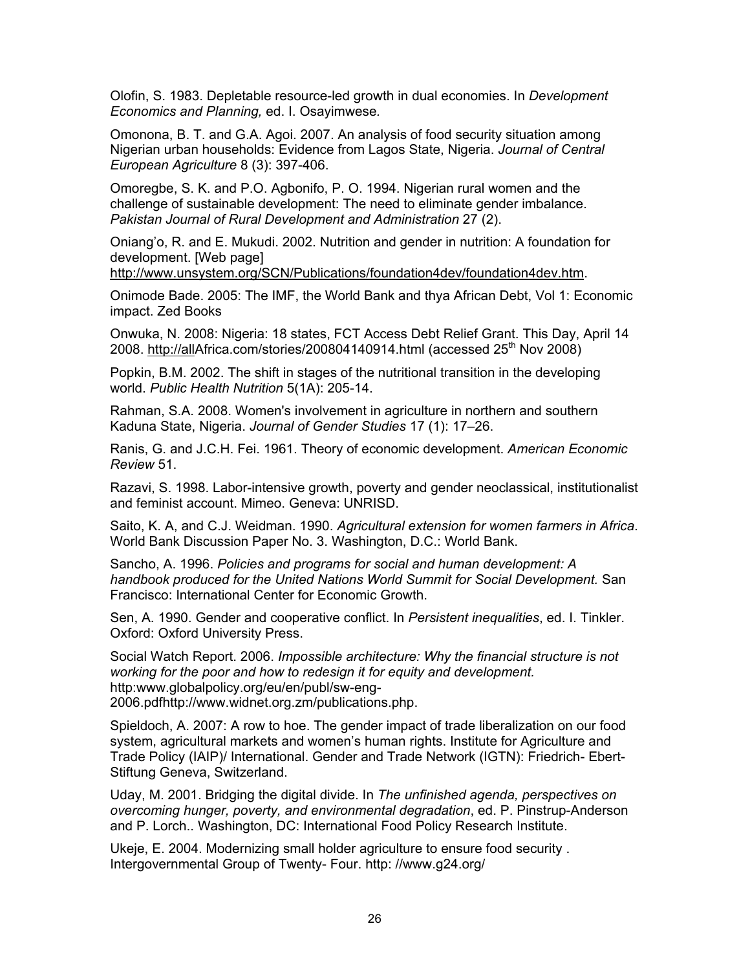Olofin, S. 1983. Depletable resource-led growth in dual economies. In *Development Economics and Planning,* ed. I. Osayimwese*.*

Omonona, B. T. and G.A. Agoi. 2007. An analysis of food security situation among Nigerian urban households: Evidence from Lagos State, Nigeria. *Journal of Central European Agriculture* 8 (3): 397-406.

Omoregbe, S. K. and P.O. Agbonifo, P. O. 1994. Nigerian rural women and the challenge of sustainable development: The need to eliminate gender imbalance. *Pakistan Journal of Rural Development and Administration* 27 (2).

Oniang'o, R. and E. Mukudi. 2002. Nutrition and gender in nutrition: A foundation for development. [Web page]

http://www.unsystem.org/SCN/Publications/foundation4dev/foundation4dev.htm.

Onimode Bade. 2005: The IMF, the World Bank and thya African Debt, Vol 1: Economic impact. Zed Books

Onwuka, N. 2008: Nigeria: 18 states, FCT Access Debt Relief Grant. This Day, April 14 2008. http://allAfrica.com/stories/200804140914.html (accessed 25<sup>th</sup> Nov 2008)

Popkin, B.M. 2002. The shift in stages of the nutritional transition in the developing world. *Public Health Nutrition* 5(1A): 205-14.

Rahman, S.A. 2008. Women's involvement in agriculture in northern and southern Kaduna State, Nigeria. *Journal of Gender Studies* 17 (1): 17–26.

Ranis, G. and J.C.H. Fei. 1961. Theory of economic development. *American Economic Review* 51.

Razavi, S. 1998. Labor-intensive growth, poverty and gender neoclassical, institutionalist and feminist account. Mimeo. Geneva: UNRISD.

Saito, K. A, and C.J. Weidman. 1990. *Agricultural extension for women farmers in Africa*. World Bank Discussion Paper No. 3. Washington, D.C.: World Bank.

Sancho, A. 1996. *Policies and programs for social and human development: A handbook produced for the United Nations World Summit for Social Development.* San Francisco: International Center for Economic Growth.

Sen, A. 1990. Gender and cooperative conflict. In *Persistent inequalities*, ed. I. Tinkler. Oxford: Oxford University Press.

Social Watch Report. 2006. *Impossible architecture: Why the financial structure is not working for the poor and how to redesign it for equity and development.*  http:www.globalpolicy.org/eu/en/publ/sw-eng-2006.pdfhttp://www.widnet.org.zm/publications.php.

Spieldoch, A. 2007: A row to hoe. The gender impact of trade liberalization on our food system, agricultural markets and women's human rights. Institute for Agriculture and Trade Policy (IAIP)/ International. Gender and Trade Network (IGTN): Friedrich- Ebert-Stiftung Geneva, Switzerland.

Uday, M. 2001. Bridging the digital divide. In *The unfinished agenda, perspectives on overcoming hunger, poverty, and environmental degradation*, ed. P. Pinstrup-Anderson and P. Lorch.. Washington, DC: International Food Policy Research Institute.

Ukeje, E. 2004. Modernizing small holder agriculture to ensure food security . Intergovernmental Group of Twenty- Four. http: //www.g24.org/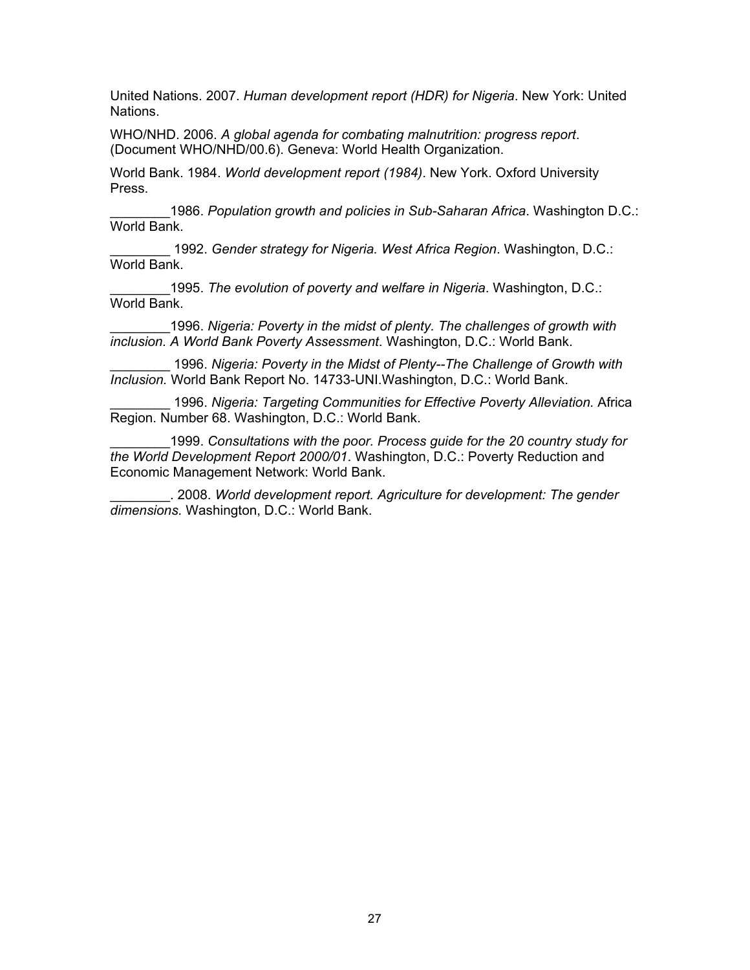United Nations. 2007. *Human development report (HDR) for Nigeria*. New York: United Nations.

WHO/NHD. 2006. *A global agenda for combating malnutrition: progress report*. (Document WHO/NHD/00.6). Geneva: World Health Organization.

World Bank. 1984. *World development report (1984)*. New York. Oxford University Press.

\_\_\_\_\_\_\_\_1986. *Population growth and policies in Sub-Saharan Africa*. Washington D.C.: World Bank.

\_\_\_\_\_\_\_\_ 1992. *Gender strategy for Nigeria. West Africa Region*. Washington, D.C.: World Bank.

\_\_\_\_\_\_\_\_1995. *The evolution of poverty and welfare in Nigeria*. Washington, D.C.: World Bank.

\_\_\_\_\_\_\_\_1996. *Nigeria: Poverty in the midst of plenty. The challenges of growth with inclusion. A World Bank Poverty Assessment*. Washington, D.C.: World Bank.

1996. *Nigeria: Poverty in the Midst of Plenty--The Challenge of Growth with Inclusion.* World Bank Report No. 14733-UNI.Washington, D.C.: World Bank.

\_\_\_\_\_\_\_\_ 1996. *Nigeria: Targeting Communities for Effective Poverty Alleviation.* Africa Region. Number 68. Washington, D.C.: World Bank.

\_\_\_\_\_\_\_\_1999. *Consultations with the poor. Process guide for the 20 country study for the World Development Report 2000/01*. Washington, D.C.: Poverty Reduction and Economic Management Network: World Bank.

\_\_\_\_\_\_\_\_. 2008. *World development report. Agriculture for development: The gender dimensions.* Washington, D.C.: World Bank.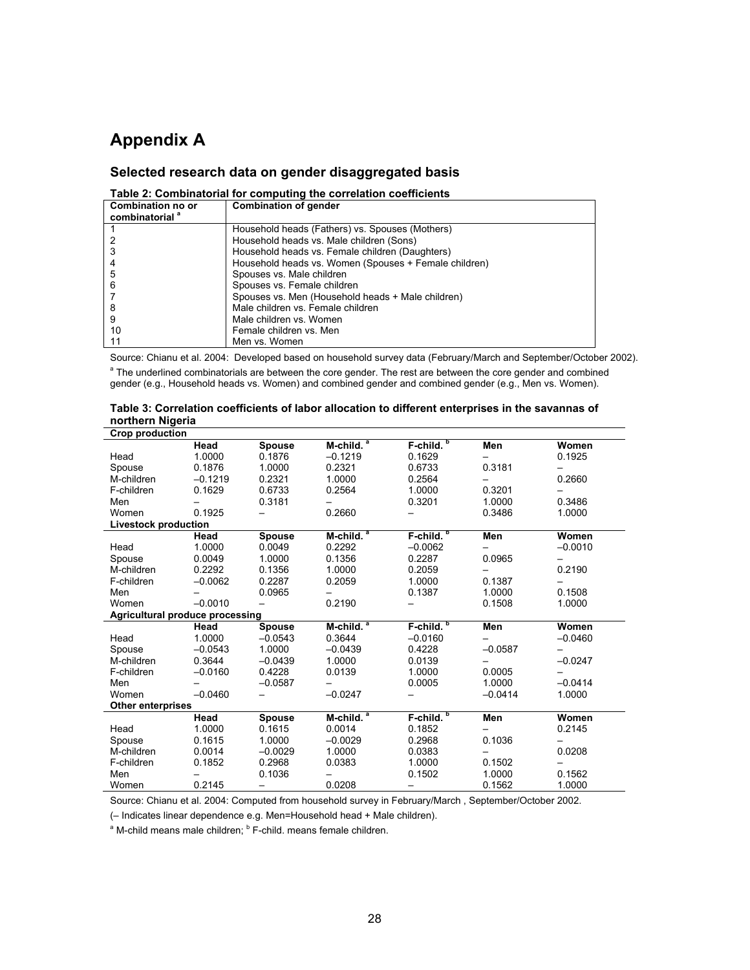# **Appendix A**

### **Selected research data on gender disaggregated basis**

| Table 2: Combinatorial for computing the correlation coefficients |                                                       |  |  |  |  |  |
|-------------------------------------------------------------------|-------------------------------------------------------|--|--|--|--|--|
| Combination no or                                                 | <b>Combination of gender</b>                          |  |  |  |  |  |
| combinatorial <sup>a</sup>                                        |                                                       |  |  |  |  |  |
|                                                                   | Household heads (Fathers) vs. Spouses (Mothers)       |  |  |  |  |  |
|                                                                   | Household heads vs. Male children (Sons)              |  |  |  |  |  |
|                                                                   | Household heads vs. Female children (Daughters)       |  |  |  |  |  |
|                                                                   | Household heads vs. Women (Spouses + Female children) |  |  |  |  |  |
| 5                                                                 | Spouses vs. Male children                             |  |  |  |  |  |
| 6                                                                 | Spouses vs. Female children                           |  |  |  |  |  |
|                                                                   | Spouses vs. Men (Household heads + Male children)     |  |  |  |  |  |
| 8                                                                 | Male children vs. Female children                     |  |  |  |  |  |
| 9                                                                 | Male children vs. Women                               |  |  |  |  |  |
| 10                                                                | Female children vs. Men                               |  |  |  |  |  |
|                                                                   | Men vs. Women                                         |  |  |  |  |  |

Source: Chianu et al. 2004: Developed based on household survey data (February/March and September/October 2002). <sup>a</sup> The underlined combinatorials are between the core gender. The rest are between the core gender and combined gender (e.g., Household heads vs. Women) and combined gender and combined gender (e.g., Men vs. Women).

| ווטו נוופו וו ושועפו ומ         |           |               |                       |                       |           |           |
|---------------------------------|-----------|---------------|-----------------------|-----------------------|-----------|-----------|
| <b>Crop production</b>          |           |               |                       |                       |           |           |
|                                 | Head      | <b>Spouse</b> | M-child. <sup>a</sup> | F-child. <sup>b</sup> | Men       | Women     |
| Head                            | 1.0000    | 0.1876        | $-0.1219$             | 0.1629                |           | 0.1925    |
| Spouse                          | 0.1876    | 1.0000        | 0.2321                | 0.6733                | 0.3181    |           |
| M-children                      | $-0.1219$ | 0.2321        | 1.0000                | 0.2564                |           | 0.2660    |
| F-children                      | 0.1629    | 0.6733        | 0.2564                | 1.0000                | 0.3201    |           |
| Men                             |           | 0.3181        |                       | 0.3201                | 1.0000    | 0.3486    |
| Women                           | 0.1925    |               | 0.2660                |                       | 0.3486    | 1.0000    |
| <b>Livestock production</b>     |           |               |                       |                       |           |           |
|                                 | Head      | <b>Spouse</b> | M-child. <sup>a</sup> | F-child. <sup>b</sup> | Men       | Women     |
| Head                            | 1.0000    | 0.0049        | 0.2292                | $-0.0062$             |           | $-0.0010$ |
| Spouse                          | 0.0049    | 1.0000        | 0.1356                | 0.2287                | 0.0965    |           |
| M-children                      | 0.2292    | 0.1356        | 1.0000                | 0.2059                |           | 0.2190    |
| F-children                      | $-0.0062$ | 0.2287        | 0.2059                | 1.0000                | 0.1387    |           |
| Men                             |           | 0.0965        |                       | 0.1387                | 1.0000    | 0.1508    |
| Women                           | $-0.0010$ |               | 0.2190                |                       | 0.1508    | 1.0000    |
| Agricultural produce processing |           |               |                       |                       |           |           |
|                                 | Head      | <b>Spouse</b> | $M$ -child. $a$       | F-child. <sup>b</sup> | Men       | Women     |
| Head                            | 1.0000    | $-0.0543$     | 0.3644                | $-0.0160$             |           | $-0.0460$ |
| Spouse                          | $-0.0543$ | 1.0000        | $-0.0439$             | 0.4228                | $-0.0587$ | —         |
| M-children                      | 0.3644    | $-0.0439$     | 1.0000                | 0.0139                |           | $-0.0247$ |
| F-children                      | $-0.0160$ | 0.4228        | 0.0139                | 1.0000                | 0.0005    |           |
| Men                             |           | $-0.0587$     |                       | 0.0005                | 1.0000    | $-0.0414$ |
| Women                           | $-0.0460$ |               | $-0.0247$             |                       | $-0.0414$ | 1.0000    |
| <b>Other enterprises</b>        |           |               |                       |                       |           |           |
|                                 | Head      | <b>Spouse</b> | M-child. <sup>a</sup> | F-child. <sup>b</sup> | Men       | Women     |
| Head                            | 1.0000    | 0.1615        | 0.0014                | 0.1852                |           | 0.2145    |
| Spouse                          | 0.1615    | 1.0000        | $-0.0029$             | 0.2968                | 0.1036    |           |
| M-children                      | 0.0014    | $-0.0029$     | 1.0000                | 0.0383                |           | 0.0208    |
| F-children                      | 0.1852    | 0.2968        | 0.0383                | 1.0000                | 0.1502    |           |
| Men                             |           | 0.1036        |                       | 0.1502                | 1.0000    | 0.1562    |
| Women                           | 0.2145    | —             | 0.0208                | —                     | 0.1562    | 1.0000    |

| Table 3: Correlation coefficients of labor allocation to different enterprises in the savannas of |
|---------------------------------------------------------------------------------------------------|
| northern Nigeria                                                                                  |

Source: Chianu et al. 2004: Computed from household survey in February/March , September/October 2002.

(– Indicates linear dependence e.g. Men=Household head + Male children).

<sup>a</sup> M-child means male children; <sup>b</sup> F-child. means female children.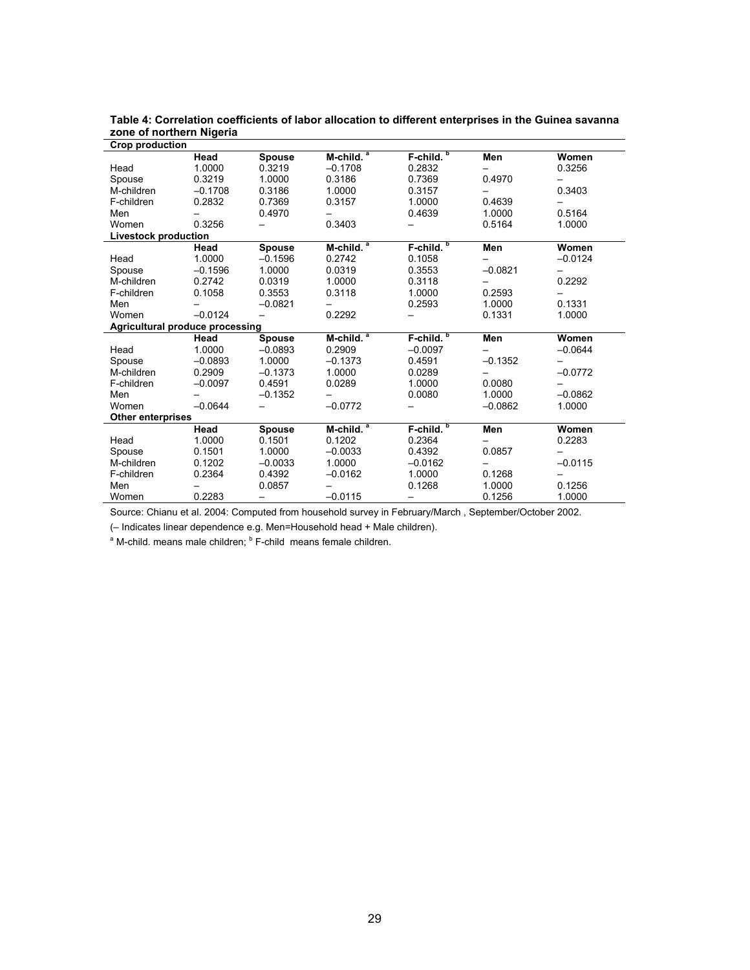| Crop production                 |           |               |                       |                       |           |           |
|---------------------------------|-----------|---------------|-----------------------|-----------------------|-----------|-----------|
|                                 | Head      | <b>Spouse</b> | M-child. <sup>a</sup> | F-child. <sup>b</sup> | Men       | Women     |
| Head                            | 1.0000    | 0.3219        | $-0.1708$             | 0.2832                |           | 0.3256    |
| Spouse                          | 0.3219    | 1.0000        | 0.3186                | 0.7369                | 0.4970    |           |
| M-children                      | $-0.1708$ | 0.3186        | 1.0000                | 0.3157                |           | 0.3403    |
| F-children                      | 0.2832    | 0.7369        | 0.3157                | 1.0000                | 0.4639    |           |
| Men                             |           | 0.4970        |                       | 0.4639                | 1.0000    | 0.5164    |
| Women                           | 0.3256    |               | 0.3403                |                       | 0.5164    | 1.0000    |
| <b>Livestock production</b>     |           |               |                       |                       |           |           |
|                                 | Head      | <b>Spouse</b> | $M$ -child. $^a$      | $F$ -child. $b$       | Men       | Women     |
| Head                            | 1.0000    | $-0.1596$     | 0.2742                | 0.1058                |           | $-0.0124$ |
| Spouse                          | $-0.1596$ | 1.0000        | 0.0319                | 0.3553                | $-0.0821$ |           |
| M-children                      | 0.2742    | 0.0319        | 1.0000                | 0.3118                |           | 0.2292    |
| F-children                      | 0.1058    | 0.3553        | 0.3118                | 1.0000                | 0.2593    |           |
| Men                             |           | $-0.0821$     |                       | 0.2593                | 1.0000    | 0.1331    |
| Women                           | $-0.0124$ |               | 0.2292                |                       | 0.1331    | 1.0000    |
| Agricultural produce processing |           |               |                       |                       |           |           |
|                                 | Head      | <b>Spouse</b> | M-child. <sup>a</sup> | F-child. <sup>b</sup> | Men       | Women     |
| Head                            | 1.0000    | $-0.0893$     | 0.2909                | $-0.0097$             |           | $-0.0644$ |
| Spouse                          | $-0.0893$ | 1.0000        | $-0.1373$             | 0.4591                | $-0.1352$ |           |
| M-children                      | 0.2909    | $-0.1373$     | 1.0000                | 0.0289                |           | $-0.0772$ |
| F-children                      | $-0.0097$ | 0.4591        | 0.0289                | 1.0000                | 0.0080    |           |
| Men                             |           | $-0.1352$     |                       | 0.0080                | 1.0000    | $-0.0862$ |
| Women                           | $-0.0644$ |               | $-0.0772$             |                       | $-0.0862$ | 1.0000    |
| <b>Other enterprises</b>        |           |               |                       |                       |           |           |
|                                 | Head      | <b>Spouse</b> | M-child. <sup>a</sup> | F-child. <sup>b</sup> | Men       | Women     |
| Head                            | 1.0000    | 0.1501        | 0.1202                | 0.2364                |           | 0.2283    |
| Spouse                          | 0.1501    | 1.0000        | $-0.0033$             | 0.4392                | 0.0857    |           |
| M-children                      | 0.1202    | $-0.0033$     | 1.0000                | $-0.0162$             |           | $-0.0115$ |
| F-children                      | 0.2364    | 0.4392        | $-0.0162$             | 1.0000                | 0.1268    |           |
| Men                             |           | 0.0857        |                       | 0.1268                | 1.0000    | 0.1256    |
| Women                           | 0.2283    | —             | $-0.0115$             | -                     | 0.1256    | 1.0000    |

**Table 4: Correlation coefficients of labor allocation to different enterprises in the Guinea savanna zone of northern Nigeria** 

Source: Chianu et al. 2004: Computed from household survey in February/March , September/October 2002.

(– Indicates linear dependence e.g. Men=Household head + Male children).

<sup>a</sup> M-child. means male children; <sup>b</sup> F-child means female children.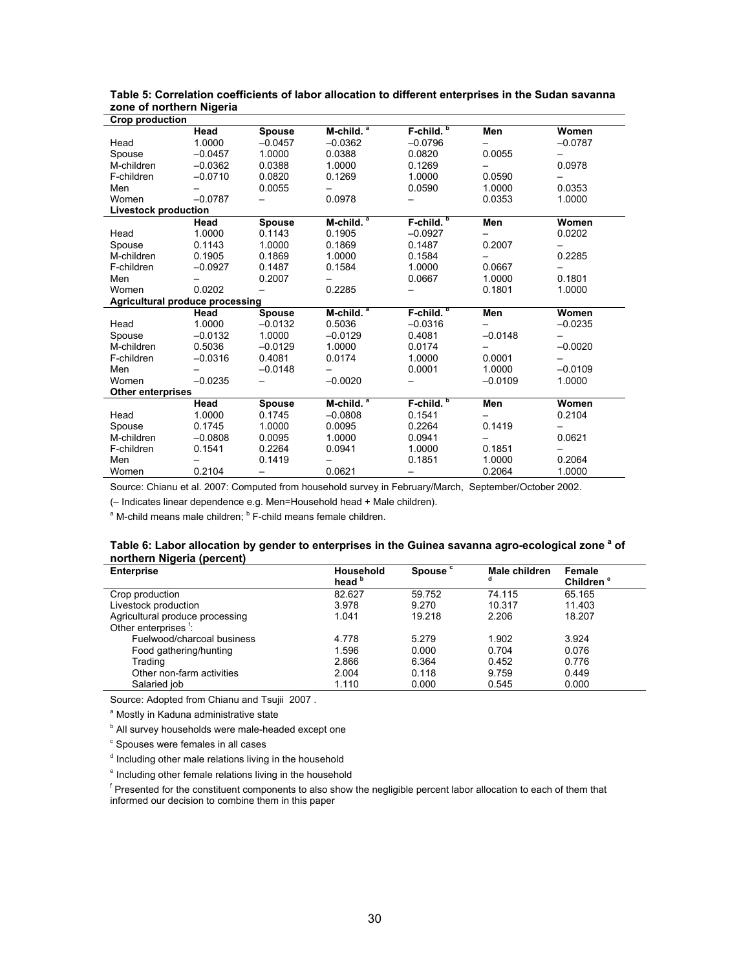| Crop production                        |           |               |                       |                       |           |           |  |
|----------------------------------------|-----------|---------------|-----------------------|-----------------------|-----------|-----------|--|
|                                        | Head      | <b>Spouse</b> | $M$ -child. $^a$      | $F$ -child. $^b$      | Men       | Women     |  |
| Head                                   | 1.0000    | $-0.0457$     | $-0.0362$             | $-0.0796$             |           | $-0.0787$ |  |
| Spouse                                 | $-0.0457$ | 1.0000        | 0.0388                | 0.0820                | 0.0055    |           |  |
| M-children                             | $-0.0362$ | 0.0388        | 1.0000                | 0.1269                |           | 0.0978    |  |
| F-children                             | $-0.0710$ | 0.0820        | 0.1269                | 1.0000                | 0.0590    |           |  |
| Men                                    |           | 0.0055        |                       | 0.0590                | 1.0000    | 0.0353    |  |
| Women                                  | $-0.0787$ |               | 0.0978                |                       | 0.0353    | 1.0000    |  |
| <b>Livestock production</b>            |           |               |                       |                       |           |           |  |
|                                        | Head      | <b>Spouse</b> | $M$ -child. $^a$      | $F$ -child. $b$       | Men       | Women     |  |
| Head                                   | 1.0000    | 0.1143        | 0.1905                | $-0.0927$             |           | 0.0202    |  |
| Spouse                                 | 0.1143    | 1.0000        | 0.1869                | 0.1487                | 0.2007    |           |  |
| M-children                             | 0.1905    | 0.1869        | 1.0000                | 0.1584                |           | 0.2285    |  |
| F-children                             | $-0.0927$ | 0.1487        | 0.1584                | 1.0000                | 0.0667    |           |  |
| Men                                    |           | 0.2007        |                       | 0.0667                | 1.0000    | 0.1801    |  |
| Women                                  | 0.0202    |               | 0.2285                |                       | 0.1801    | 1.0000    |  |
| <b>Agricultural produce processing</b> |           |               |                       |                       |           |           |  |
|                                        | Head      | Spouse        | M-child. <sup>a</sup> | F-child. <sup>b</sup> | Men       | Women     |  |
| Head                                   | 1.0000    | $-0.0132$     | 0.5036                | $-0.0316$             |           | $-0.0235$ |  |
| Spouse                                 | $-0.0132$ | 1.0000        | $-0.0129$             | 0.4081                | $-0.0148$ | -         |  |
| M-children                             | 0.5036    | $-0.0129$     | 1.0000                | 0.0174                |           | $-0.0020$ |  |
| F-children                             | $-0.0316$ | 0.4081        | 0.0174                | 1.0000                | 0.0001    |           |  |
| Men                                    |           | $-0.0148$     |                       | 0.0001                | 1.0000    | $-0.0109$ |  |
| Women                                  | $-0.0235$ |               | $-0.0020$             |                       | $-0.0109$ | 1.0000    |  |
| <b>Other enterprises</b>               |           |               |                       |                       |           |           |  |
|                                        | Head      | <b>Spouse</b> | $M$ -child. $^a$      | $F$ -child. $b$       | Men       | Women     |  |
| Head                                   | 1.0000    | 0.1745        | $-0.0808$             | 0.1541                |           | 0.2104    |  |
| Spouse                                 | 0.1745    | 1.0000        | 0.0095                | 0.2264                | 0.1419    |           |  |
| M-children                             | $-0.0808$ | 0.0095        | 1.0000                | 0.0941                |           | 0.0621    |  |
| F-children                             | 0.1541    | 0.2264        | 0.0941                | 1.0000                | 0.1851    |           |  |
| Men                                    |           | 0.1419        |                       | 0.1851                | 1.0000    | 0.2064    |  |
| Women                                  | 0.2104    | —             | 0.0621                | —                     | 0.2064    | 1.0000    |  |

**Table 5: Correlation coefficients of labor allocation to different enterprises in the Sudan savanna zone of northern Nigeria** 

Source: Chianu et al. 2007: Computed from household survey in February/March, September/October 2002.

(– Indicates linear dependence e.g. Men=Household head + Male children).

<sup>a</sup> M-child means male children; <sup>b</sup> F-child means female children.

#### Table 6: Labor allocation by gender to enterprises in the Guinea savanna agro-ecological zone <sup>a</sup> of **northern Nigeria (percent)**

| <b>Enterprise</b>                | <b>Household</b><br>head <sup>b</sup> | Spouse <sup>c</sup> | Male children<br>α | Female<br>Children <sup>e</sup> |
|----------------------------------|---------------------------------------|---------------------|--------------------|---------------------------------|
| Crop production                  | 82.627                                | 59.752              | 74.115             | 65.165                          |
| Livestock production             | 3.978                                 | 9.270               | 10.317             | 11.403                          |
| Agricultural produce processing  | 1.041                                 | 19.218              | 2.206              | 18.207                          |
| Other enterprises <sup>1</sup> : |                                       |                     |                    |                                 |
| Fuelwood/charcoal business       | 4.778                                 | 5.279               | 1.902              | 3.924                           |
| Food gathering/hunting           | 1.596                                 | 0.000               | 0.704              | 0.076                           |
| Trading                          | 2.866                                 | 6.364               | 0.452              | 0.776                           |
| Other non-farm activities        | 2.004                                 | 0.118               | 9.759              | 0.449                           |
| Salaried job                     | 1.110                                 | 0.000               | 0.545              | 0.000                           |

Source: Adopted from Chianu and Tsujii 2007 .

<sup>a</sup> Mostly in Kaduna administrative state

<sup>b</sup> All survey households were male-headed except one

<sup>c</sup> Spouses were females in all cases

<sup>d</sup> Including other male relations living in the household

<sup>e</sup> Including other female relations living in the household

<sup>f</sup> Presented for the constituent components to also show the negligible percent labor allocation to each of them that informed our decision to combine them in this paper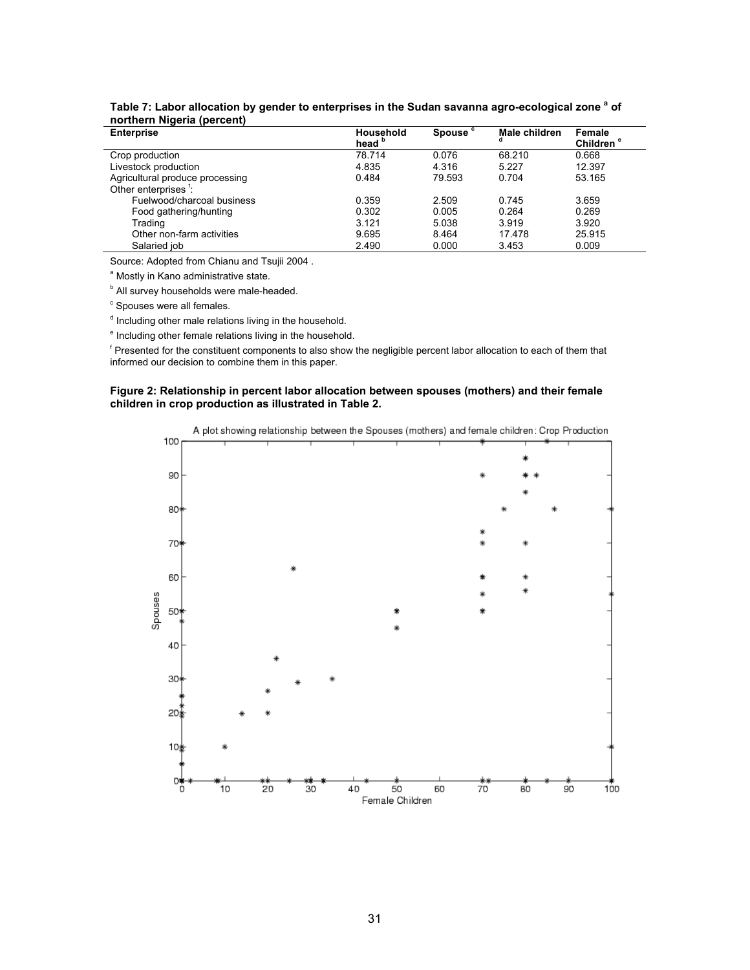| <b>Enterprise</b>                | Household<br>head <b>b</b> | Spouse <sup>c</sup> | Male children<br>d | Female<br>Children <sup>e</sup> |
|----------------------------------|----------------------------|---------------------|--------------------|---------------------------------|
| Crop production                  | 78.714                     | 0.076               | 68.210             | 0.668                           |
| Livestock production             | 4.835                      | 4.316               | 5.227              | 12.397                          |
| Agricultural produce processing  | 0.484                      | 79.593              | 0.704              | 53.165                          |
| Other enterprises <sup>1</sup> : |                            |                     |                    |                                 |
| Fuelwood/charcoal business       | 0.359                      | 2.509               | 0.745              | 3.659                           |
| Food gathering/hunting           | 0.302                      | 0.005               | 0.264              | 0.269                           |
| Trading                          | 3.121                      | 5.038               | 3.919              | 3.920                           |
| Other non-farm activities        | 9.695                      | 8.464               | 17.478             | 25.915                          |
| Salaried job                     | 2.490                      | 0.000               | 3.453              | 0.009                           |

|                            | Table 7: Labor allocation by gender to enterprises in the Sudan savanna agro-ecological zone <sup>a</sup> of |  |
|----------------------------|--------------------------------------------------------------------------------------------------------------|--|
| northern Nigeria (percent) |                                                                                                              |  |

Source: Adopted from Chianu and Tsujii 2004 .

<sup>a</sup> Mostly in Kano administrative state.

<sup>b</sup> All survey households were male-headed.

<sup>c</sup> Spouses were all females.

<sup>d</sup> Including other male relations living in the household.

<sup>e</sup> Including other female relations living in the household.

<sup>f</sup> Presented for the constituent components to also show the negligible percent labor allocation to each of them that informed our decision to combine them in this paper.

#### **Figure 2: Relationship in percent labor allocation between spouses (mothers) and their female children in crop production as illustrated in Table 2.**

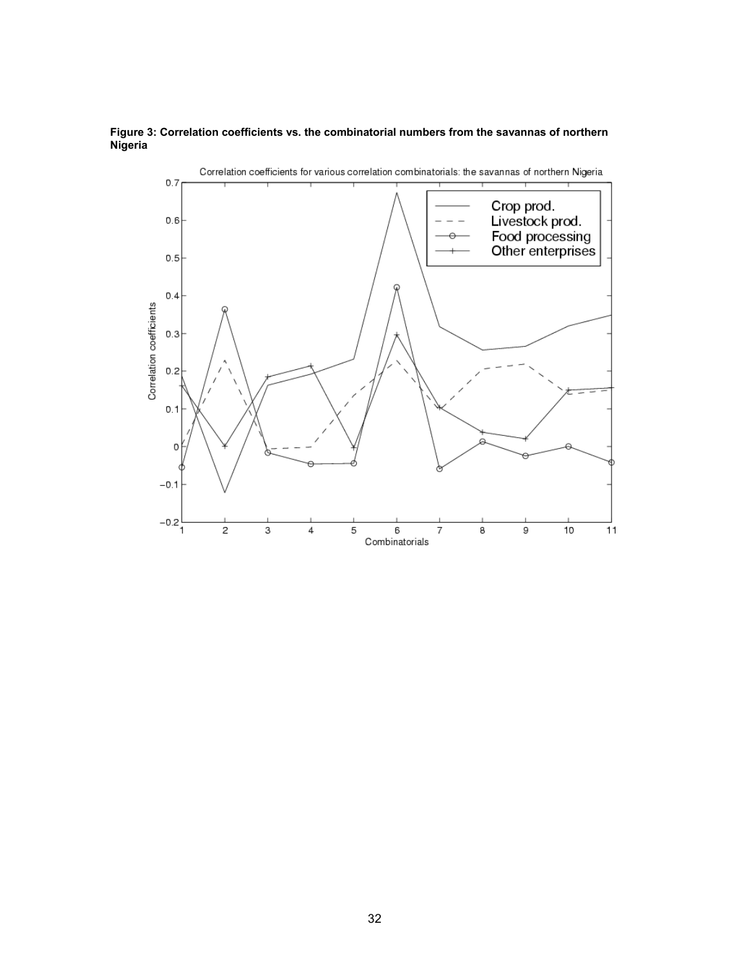

#### **Figure 3: Correlation coefficients vs. the combinatorial numbers from the savannas of northern Nigeria**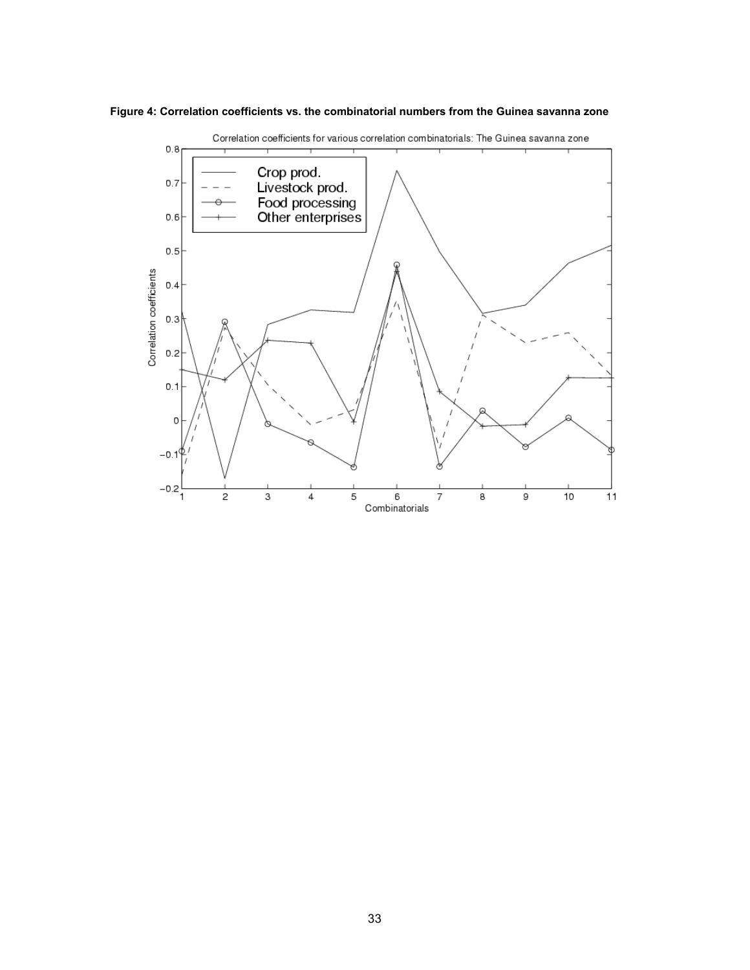



Correlation coefficients for various correlation combinatorials: The Guinea savanna zone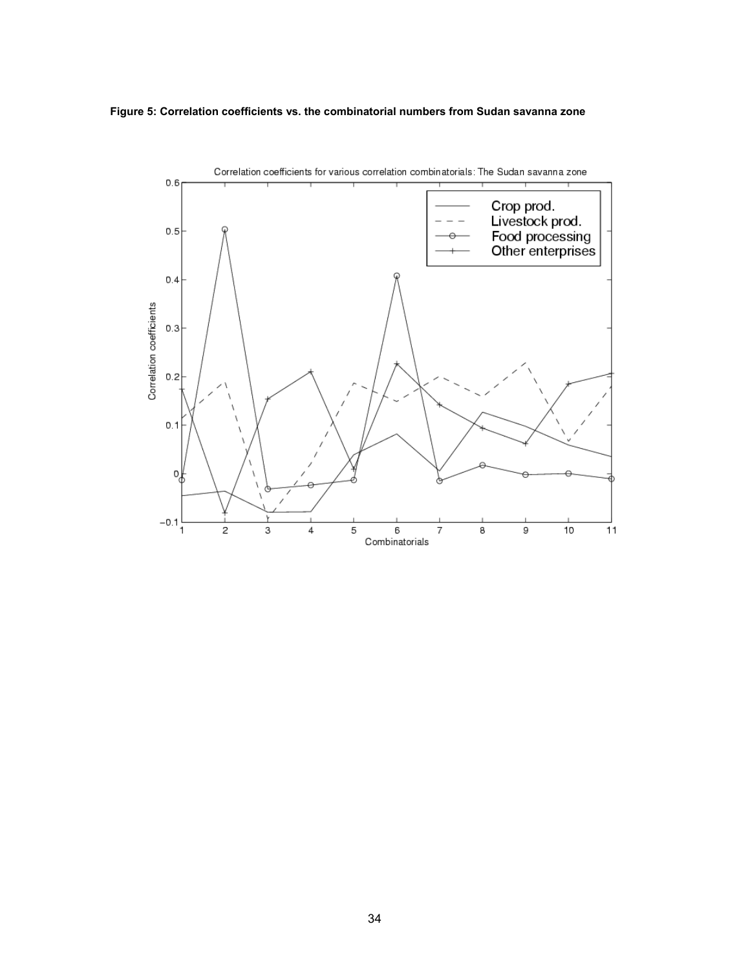#### **Figure 5: Correlation coefficients vs. the combinatorial numbers from Sudan savanna zone**

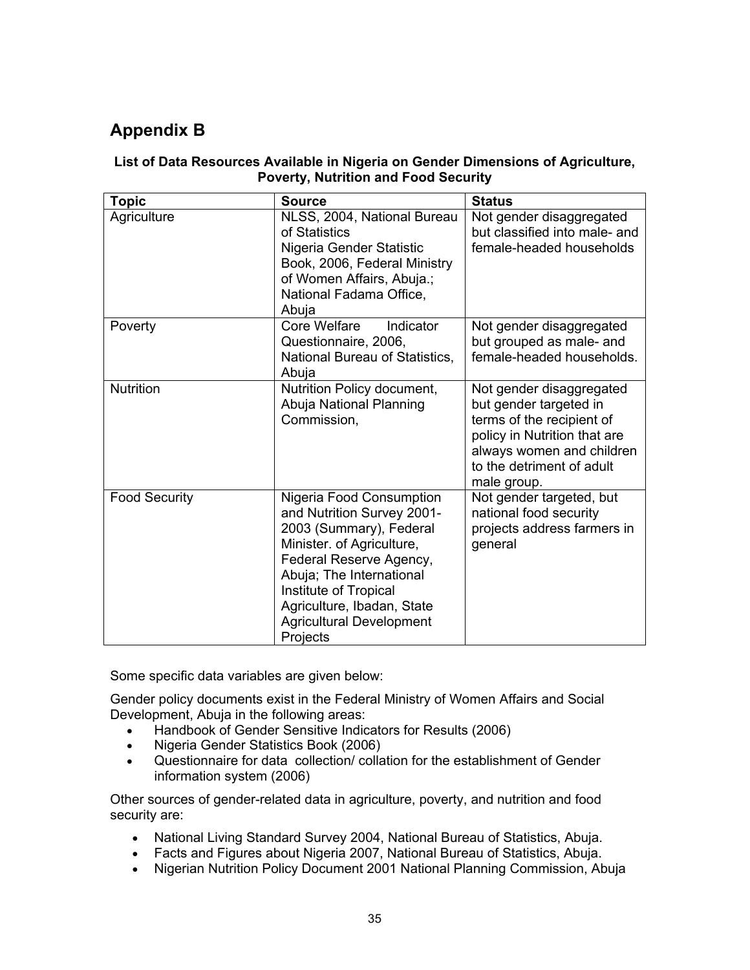# **Appendix B**

### **List of Data Resources Available in Nigeria on Gender Dimensions of Agriculture, Poverty, Nutrition and Food Security**

| <b>Topic</b>         | <b>Source</b>                                                                                                                                                                                                                                                               | <b>Status</b>                                                                                                                                                                            |
|----------------------|-----------------------------------------------------------------------------------------------------------------------------------------------------------------------------------------------------------------------------------------------------------------------------|------------------------------------------------------------------------------------------------------------------------------------------------------------------------------------------|
| Agriculture          | NLSS, 2004, National Bureau<br>of Statistics<br>Nigeria Gender Statistic<br>Book, 2006, Federal Ministry<br>of Women Affairs, Abuja.;<br>National Fadama Office,<br>Abuja                                                                                                   | Not gender disaggregated<br>but classified into male- and<br>female-headed households                                                                                                    |
| Poverty              | Core Welfare<br>Indicator<br>Questionnaire, 2006,<br>National Bureau of Statistics,<br>Abuja                                                                                                                                                                                | Not gender disaggregated<br>but grouped as male- and<br>female-headed households.                                                                                                        |
| <b>Nutrition</b>     | Nutrition Policy document,<br>Abuja National Planning<br>Commission,                                                                                                                                                                                                        | Not gender disaggregated<br>but gender targeted in<br>terms of the recipient of<br>policy in Nutrition that are<br>always women and children<br>to the detriment of adult<br>male group. |
| <b>Food Security</b> | Nigeria Food Consumption<br>and Nutrition Survey 2001-<br>2003 (Summary), Federal<br>Minister. of Agriculture,<br>Federal Reserve Agency,<br>Abuja; The International<br>Institute of Tropical<br>Agriculture, Ibadan, State<br><b>Agricultural Development</b><br>Projects | Not gender targeted, but<br>national food security<br>projects address farmers in<br>general                                                                                             |

Some specific data variables are given below:

Gender policy documents exist in the Federal Ministry of Women Affairs and Social Development, Abuja in the following areas:

- Handbook of Gender Sensitive Indicators for Results (2006)
- Nigeria Gender Statistics Book (2006)
- Questionnaire for data collection/ collation for the establishment of Gender information system (2006)

Other sources of gender-related data in agriculture, poverty, and nutrition and food security are:

- National Living Standard Survey 2004, National Bureau of Statistics, Abuja.
- Facts and Figures about Nigeria 2007, National Bureau of Statistics, Abuja.
- Nigerian Nutrition Policy Document 2001 National Planning Commission, Abuja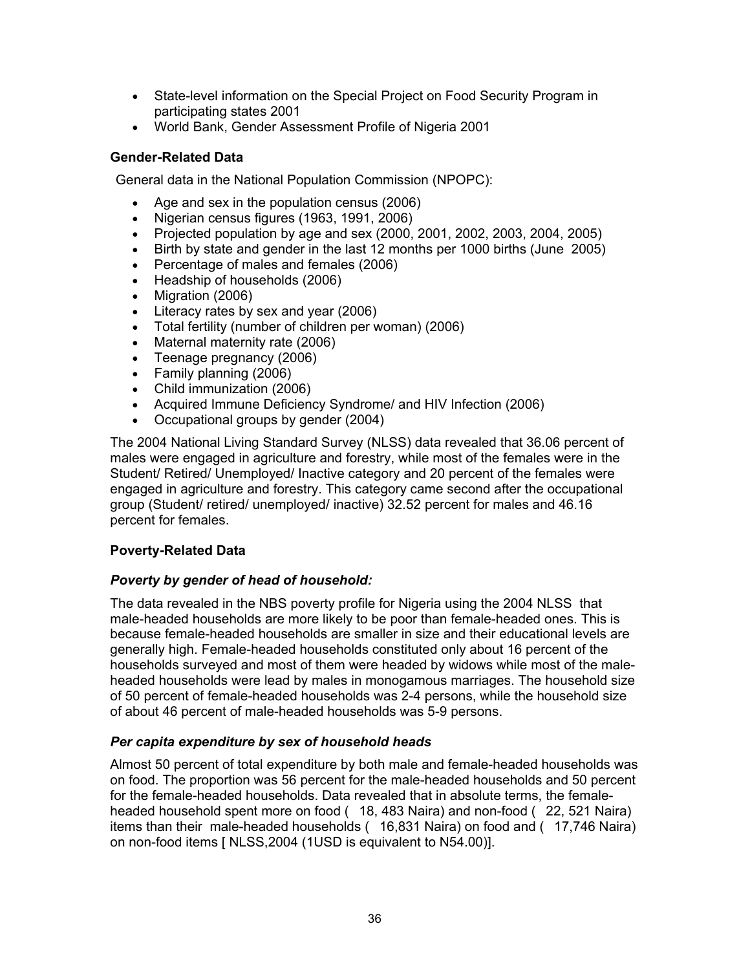- State-level information on the Special Project on Food Security Program in participating states 2001
- World Bank, Gender Assessment Profile of Nigeria 2001

### **Gender-Related Data**

General data in the National Population Commission (NPOPC):

- Age and sex in the population census (2006)
- $\bullet$  Nigerian census figures (1963, 1991, 2006)
- Projected population by age and sex  $(2000, 2001, 2002, 2003, 2004, 2005)$
- Birth by state and gender in the last 12 months per 1000 births (June 2005)
- Percentage of males and females (2006)
- Headship of households (2006)
- Migration (2006)
- Literacy rates by sex and year (2006)
- Total fertility (number of children per woman) (2006)
- Maternal maternity rate (2006)
- Teenage pregnancy (2006)
- Family planning (2006)
- Child immunization (2006)
- Acquired Immune Deficiency Syndrome/ and HIV Infection (2006)
- Occupational groups by gender (2004)

The 2004 National Living Standard Survey (NLSS) data revealed that 36.06 percent of males were engaged in agriculture and forestry, while most of the females were in the Student/ Retired/ Unemployed/ Inactive category and 20 percent of the females were engaged in agriculture and forestry. This category came second after the occupational group (Student/ retired/ unemployed/ inactive) 32.52 percent for males and 46.16 percent for females.

### **Poverty-Related Data**

### *Poverty by gender of head of household:*

The data revealed in the NBS poverty profile for Nigeria using the 2004 NLSS that male-headed households are more likely to be poor than female-headed ones. This is because female-headed households are smaller in size and their educational levels are generally high. Female-headed households constituted only about 16 percent of the households surveyed and most of them were headed by widows while most of the maleheaded households were lead by males in monogamous marriages. The household size of 50 percent of female-headed households was 2-4 persons, while the household size of about 46 percent of male-headed households was 5-9 persons.

### *Per capita expenditure by sex of household heads*

Almost 50 percent of total expenditure by both male and female-headed households was on food. The proportion was 56 percent for the male-headed households and 50 percent for the female-headed households. Data revealed that in absolute terms, the femaleheaded household spent more on food (18, 483 Naira) and non-food (22, 521 Naira) items than their male-headed households (16,831 Naira) on food and (17,746 Naira) on non-food items [ NLSS,2004 (1USD is equivalent to N54.00)].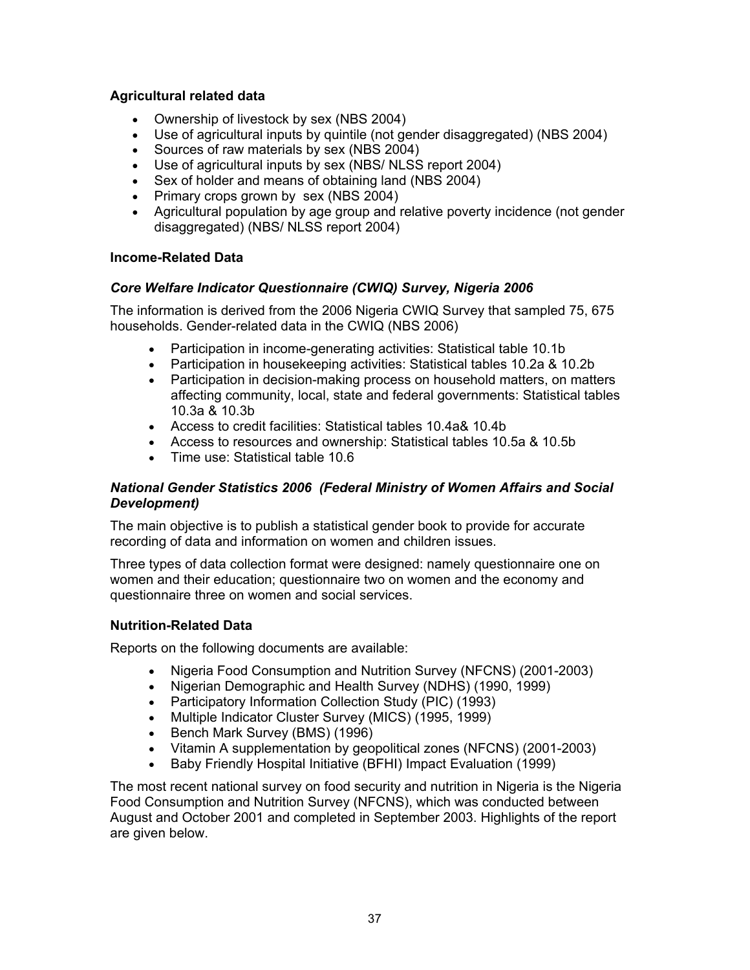### **Agricultural related data**

- Ownership of livestock by sex (NBS 2004)
- Use of agricultural inputs by quintile (not gender disaggregated) (NBS 2004)
- Sources of raw materials by sex (NBS 2004)
- Use of agricultural inputs by sex (NBS/ NLSS report 2004)
- Sex of holder and means of obtaining land (NBS 2004)
- Primary crops grown by sex (NBS 2004)
- Agricultural population by age group and relative poverty incidence (not gender disaggregated) (NBS/ NLSS report 2004)

### **Income-Related Data**

### *Core Welfare Indicator Questionnaire (CWIQ) Survey, Nigeria 2006*

The information is derived from the 2006 Nigeria CWIQ Survey that sampled 75, 675 households. Gender-related data in the CWIQ (NBS 2006)

- Participation in income-generating activities: Statistical table 10.1b
- Participation in housekeeping activities: Statistical tables 10.2a & 10.2b
- Participation in decision-making process on household matters, on matters affecting community, local, state and federal governments: Statistical tables 10.3a & 10.3b
- Access to credit facilities: Statistical tables 10.4a& 10.4b
- Access to resources and ownership: Statistical tables 10.5a & 10.5b
- Time use: Statistical table 10.6

### *National Gender Statistics 2006 (Federal Ministry of Women Affairs and Social Development)*

The main objective is to publish a statistical gender book to provide for accurate recording of data and information on women and children issues.

Three types of data collection format were designed: namely questionnaire one on women and their education; questionnaire two on women and the economy and questionnaire three on women and social services.

### **Nutrition-Related Data**

Reports on the following documents are available:

- Nigeria Food Consumption and Nutrition Survey (NFCNS) (2001-2003)
- Nigerian Demographic and Health Survey (NDHS) (1990, 1999)
- Participatory Information Collection Study (PIC) (1993)
- Multiple Indicator Cluster Survey (MICS) (1995, 1999)
- Bench Mark Survey (BMS) (1996)
- Vitamin A supplementation by geopolitical zones (NFCNS) (2001-2003)
- Baby Friendly Hospital Initiative (BFHI) Impact Evaluation (1999)

The most recent national survey on food security and nutrition in Nigeria is the Nigeria Food Consumption and Nutrition Survey (NFCNS), which was conducted between August and October 2001 and completed in September 2003. Highlights of the report are given below.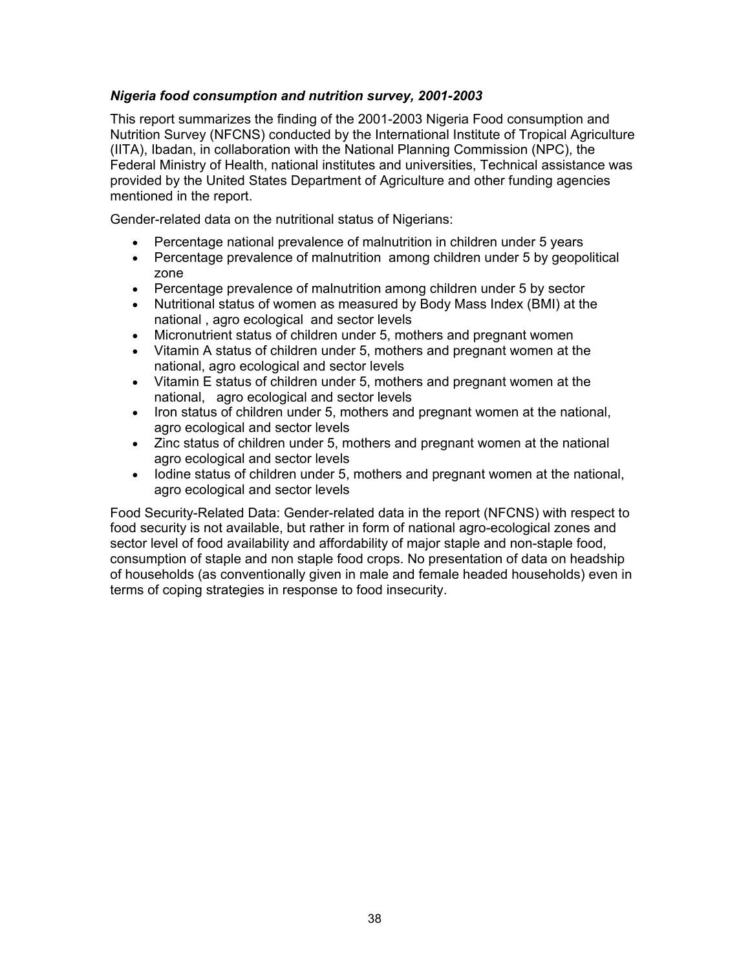### *Nigeria food consumption and nutrition survey, 2001-2003*

This report summarizes the finding of the 2001-2003 Nigeria Food consumption and Nutrition Survey (NFCNS) conducted by the International Institute of Tropical Agriculture (IITA), Ibadan, in collaboration with the National Planning Commission (NPC), the Federal Ministry of Health, national institutes and universities, Technical assistance was provided by the United States Department of Agriculture and other funding agencies mentioned in the report.

Gender-related data on the nutritional status of Nigerians:

- Percentage national prevalence of malnutrition in children under 5 years
- Percentage prevalence of malnutrition among children under 5 by geopolitical zone
- Percentage prevalence of malnutrition among children under 5 by sector
- Nutritional status of women as measured by Body Mass Index (BMI) at the national , agro ecological and sector levels
- Micronutrient status of children under 5, mothers and pregnant women
- Vitamin A status of children under 5, mothers and pregnant women at the national, agro ecological and sector levels
- Vitamin E status of children under 5, mothers and pregnant women at the national, agro ecological and sector levels
- Iron status of children under 5, mothers and pregnant women at the national, agro ecological and sector levels
- Zinc status of children under 5, mothers and pregnant women at the national agro ecological and sector levels
- Iodine status of children under 5, mothers and pregnant women at the national, agro ecological and sector levels

Food Security-Related Data: Gender-related data in the report (NFCNS) with respect to food security is not available, but rather in form of national agro-ecological zones and sector level of food availability and affordability of major staple and non-staple food, consumption of staple and non staple food crops. No presentation of data on headship of households (as conventionally given in male and female headed households) even in terms of coping strategies in response to food insecurity.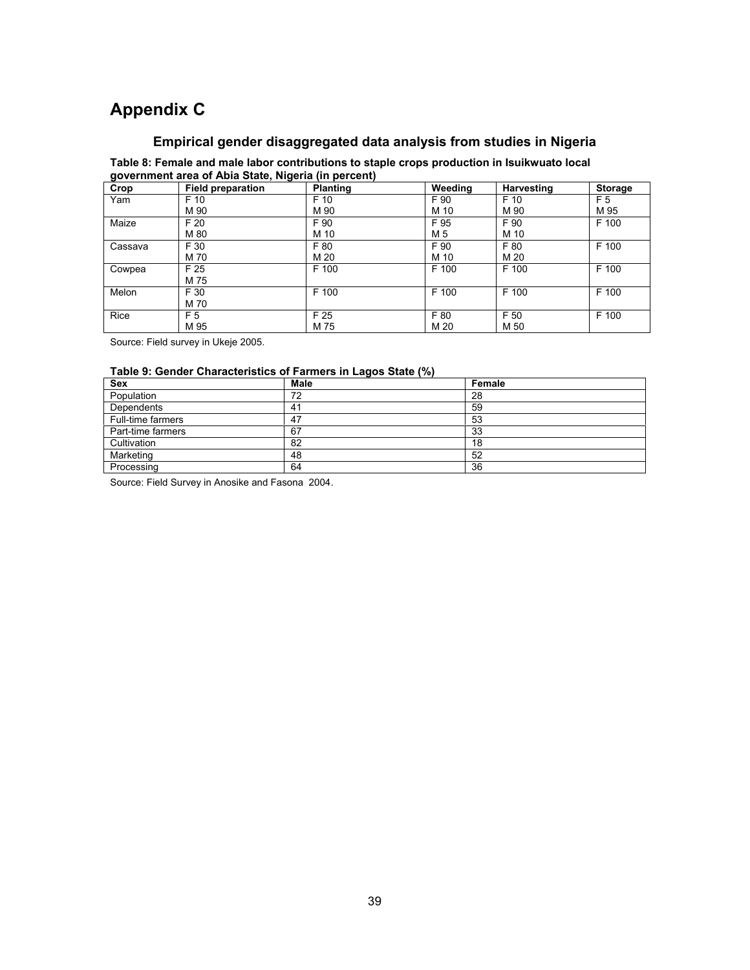# **Appendix C**

### **Empirical gender disaggregated data analysis from studies in Nigeria**

**Table 8: Female and male labor contributions to staple crops production in Isuikwuato local government area of Abia State, Nigeria (in percent)** 

| . .<br>Crop | . .<br><b>Field preparation</b> | <b>Planting</b> | Weeding | Harvesting | Storage |
|-------------|---------------------------------|-----------------|---------|------------|---------|
| Yam         | F 10                            | F 10            | F 90    | F 10       | F 5     |
|             | M 90                            | M 90            | M 10    | M 90       | M 95    |
| Maize       | F 20                            | F 90            | F 95    | F 90       | F 100   |
|             | M 80                            | M 10            | M 5     | M 10       |         |
| Cassava     | F 30                            | F 80            | F 90    | F 80       | F 100   |
|             | M 70                            | M 20            | M 10    | M 20       |         |
| Cowpea      | F 25                            | F 100           | F 100   | F 100      | F 100   |
|             | M 75                            |                 |         |            |         |
| Melon       | F 30                            | F 100           | F 100   | F 100      | F 100   |
|             | M 70                            |                 |         |            |         |
| Rice        | F 5                             | F 25            | F 80    | F 50       | F 100   |
|             | M 95                            | M 75            | M 20    | M 50       |         |

Source: Field survey in Ukeje 2005.

#### **Table 9: Gender Characteristics of Farmers in Lagos State (%)**

| Sex               | <b>Male</b> | Female |
|-------------------|-------------|--------|
| Population        | 72          | 28     |
| Dependents        | 41          | 59     |
| Full-time farmers | 47          | 53     |
| Part-time farmers | 67          | 33     |
| Cultivation       | 82          | 18     |
| Marketing         | 48          | 52     |
| Processing        | 64          | 36     |

Source: Field Survey in Anosike and Fasona 2004.